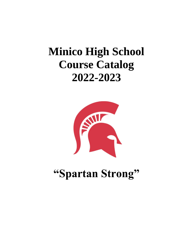# **Minico High School Course Catalog 2022-2023**



**"Spartan Strong"**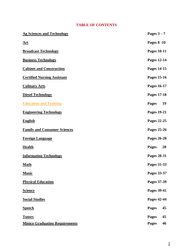# **TABLE OF CONTENTS**

| <b>Ag Sciences and Technology</b>     | Pages $3-7$        |
|---------------------------------------|--------------------|
| <u>Art</u>                            | <b>Pages 8 -10</b> |
| <b>Broadcast Technology</b>           | <b>Pages 10-11</b> |
| <b>Business Technology</b>            | Pages 12-14        |
| <b>Cabinet and Construction</b>       | Pages 14-15        |
| <b>Certified Nursing Assistant</b>    | Pages 15-16        |
| <b>Culinary Arts</b>                  | Pages 16-17        |
| <b>Diesel Technology</b>              | <b>Pages 17-18</b> |
| <b>Education and Training</b>         | 19<br><b>Pages</b> |
| <b>Engineering Technology</b>         | <b>Pages 19-21</b> |
| <b>English</b>                        | Pages 22-25        |
| <b>Family and Consumer Sciences</b>   | Pages 25-26        |
| <b>Foreign Language</b>               | <b>Pages 26-28</b> |
| <b>Health</b>                         | <b>Pages</b><br>28 |
| <b>Information Technology</b>         | Pages 28-31        |
| <b>Math</b>                           | Pages 31-33        |
| <b>Music</b>                          | Pages 33-37        |
| <b>Physical Education</b>             | Pages 37-39        |
| <b>Science</b>                        | Pages 39-41        |
| <b>Social Studies</b>                 | Pages 42-44        |
| <b>Speech</b>                         | <b>Pages</b><br>45 |
| <b>Tutors</b>                         | <b>Pages</b><br>45 |
| <b>Minico Graduation Requirements</b> | <b>Pages</b><br>46 |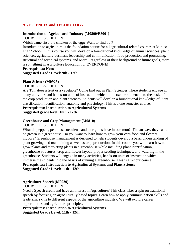### <span id="page-2-0"></span>**AG SCIENCES and TECHNOLOGY**

# **Introduction to Agricultural Industry (M0800/E8001)**

COURSE DESCRIPTION

Which came first, the chicken or the egg? Want to find out?

Introduction to agriculture is the foundation course for all agricultural related courses at Minico High School. In this course you will develop a foundational knowledge of animal sciences, plant sciences, agriculture business, leadership and communication, food production and processing, structural and technical systems, and More! Regardless of their background or future goals, there is something in Agriculture Education for EVERYONE!

### **Prerequisites: None**

**Suggested Grade Level: 9th - 12th**

### **Plant Science (M0925)**

COURSE DESCRIPTION

Are Tomatoes a fruit or a vegetable? Come find out in Plant Sciences where students engage in many activities and hands-on units of instruction which immerse the students into the basic of the crop production and plant sciences. Students will develop a foundational knowledge of Plant classification, identification, anatomy and physiology. This is a one semester course.

**Prerequisites: Introduction to Agricultural Systems**

**Suggested grade level: 10th - 12th**

### **Greenhouse and Crop Management (M0810)**

### COURSE DESCRIPTION

What do peppers, petunias, succulents and marigolds have in common? The answer, they can all be grown in a greenhouse. Do you want to learn how to grow your own food and flowers indoors? Greenhouse management is designed to help students develop a basic understanding of plant growing and maintaining as well as crop production. In this course you will learn how to grow plants and marketing plants in a greenhouse while including plant identification, greenhouse structures, crop and flower layout, proper seeding techniques, and watering in the greenhouse. Students will engage in many activities, hands-on units of instruction which immerse the students into the basics of running a greenhouse. This is a 2-hour course. **Prerequisites: Introduction to Agricultural Systems and Plant Science Suggested Grade Level: 11th - 12th**

### **Agriculture Speech (M0929)**

COURSE DESCRIPTION

Need a Speech credit and have an interest in Agriculture? This class takes a spin on traditional speech by focusing on agriculturally based topics. Learn how to apply communication skills and leadership skills to different aspects of the agriculture industry. We will explore career opportunities and agriculture principles.

**Prerequisites: Introduction to Agricultural Systems Suggested Grade Level: 11th - 12th**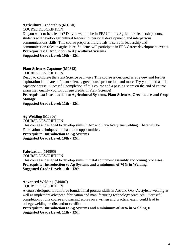### **Agriculture Leadership (M1570)**

COURSE DESCRIPTION

Do you want to be a leader? Do you want to be in FFA? In this Agriculture leadership course students will develop agricultural leadership, personal development, and interpersonal communications skills. This course prepares individuals to serve in leadership and communication roles in agriculture. Students will participate in FFA Career development events. **Prerequisites: Introduction to Agricultural Systems** 

**Suggested Grade Level: 10th - 12th**

### **Plant Sciences Capstone (M0812)**

COURSE DESCRIPTION

Ready to complete the Plant Science pathway? This course is designed as a review and further exploration in the area of plant science, greenhouse production, and more. Try your hand at this capstone course. Successful completion of this course and a passing score on the end of course exam may qualify you for college credits in Plant Science!

**Prerequisites: Introduction to Agricultural Systems, Plant Sciences, Greenhouse and Crop Manage**

**Suggested Grade Level: 11th - 12th**

**Ag Welding (M0806)**  COURSE DESCRIPTION This course is designed to develop skills in Arc and Oxy-Acetylene welding. There will be Fabrication techniques and hands-on opportunities. **Prerequisite: Introduction to Ag Systems Suggested Grade Level: 10th - 12th**

**Fabrication (M0805)**  COURSE DESCRIPTION This course is designed to develop skills in metal equipment assembly and joining processes. **Prerequisite: Introduction to Ag Systems and a minimum of 70% in Welding Suggested Grade Level: 11th - 12th**

### **Advanced Welding (M0807)**  COURSE DESCRIPTION

A course designed to reinforce foundational process skills in Arc and Oxy-Acetylene welding as well as implement advanced fabrication and manufacturing technology practices. Successful completion of this course and passing scores on a written and practical exam could lead to college welding credits and/or certification.

**Prerequisite: Introduction to Ag Systems and a minimum of 70% in Welding II Suggested Grade Level: 11th - 12th**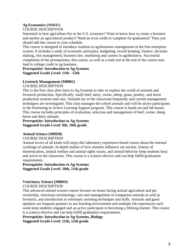# **Ag Economics (M0845)**

### COURSE DESCRIPTION

Interested in how agriculture fits in the U.S. economy? Want to know how to create a business and market an agricultural product? Need an econ credit to complete for graduation? Then you should add this course to your schedule.

This course is designed to introduce students to agribusiness management in the free enterprise system. It includes a study of economic principles, budgeting, record keeping, finance, decision making, risk management, business law, marketing and careers in agribusiness. Successful completion of the prerequisites, this course, as well as a state test at the end of the course may lead to college credit in ag business.

**Prerequisite: Introduction to Ag Systems Suggested Grade Level: 11th - 12th**

### **Livestock Management (M0801)**

COURSE DESCRIPTION

This is the first class after Intro to Ag Systems to take to explore the world of animals and livestock production. Specifically, study beef, dairy, swine, sheep, goats, poultry, and horse production systems and care. Animals are in the classroom frequently and current management techniques are investigated. This class manages the school animals and will be active participants in the Partnering in Active Learning Support program. This course is hands-on and lab-based. This course includes principles of evaluation, selection and management of beef, swine, sheep, horse and dairy animals.

### **Prerequisite: Introduction to Ag Systems Suggested Grade Level: 9th, 10th grade.**

### **Animal Science (M0928)**

### COURSE DESCRIPTION

Animal lovers of all kinds will enjoy this laboratory experience-based course about the internal workings of animals. In-depth studies of how animals influence our society, history of domestication, animal welfare and animal rights issues, and animal behavior keep students busy and active in the classroom. This course is a science elective and can help fulfill graduation requirements.

### **Prerequisite: Introduction to Ag Systems Suggested Grade Level: 10th, 11th grade**

### **Veterinary Science (M0843)**

COURSE DESCRIPTION

This advanced animal science course focuses on issues facing animal agriculture and pet ownership, veterinary terminology, care and management of companion animals as well as livestock, and introduction to veterinary assisting techniques and skills. Animals and guest speakers are frequent partners in our learning environment and multiple lab experiences each week keep students engaged and an active participant in becoming a lifelong learner. This course is a science elective and can help fulfill graduation requirements.

**Prerequisite: Introduction to Ag Systems, Biology Suggested Grade Level: 11th, 12th grade**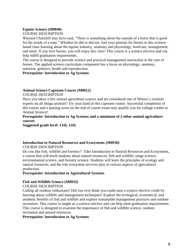### **Equine Science (M0840)**

### COURSE DESCRIPTION

Winston Churchill may have said, "There is something about the outside of a horse that is good for the inside of a man." Whether he did or did not, fuel your passion for horses in this sciencebased class learning about the equine industry, anatomy and physiology, hoofcare, management, and more. If you love horses, you will enjoy this class! This course is a science elective and can help fulfill graduation requirements.

The course is designed to provide science and practical management instruction in the care of horses. The applied science curriculum component has a focus on physiology, anatomy, nutrition, genetics, health and reproduction.

### **Prerequisite: Introduction to Ag Systems**

### **Animal Science Capstone Course (M0812)**

COURSE DESCRIPTION

Have you taken a few animal agriculture courses and are considered one of Minico's resident experts on all things animals? Try your hand at this capstone course. Successful completion of this course and a passing score on the end of course exam may qualify you for college credits in Animal Science!

### **Prerequisite: Introduction to Ag Systems and a minimum of 2 other animal agriculture courses**

**Suggested grade level: 11th, 12th**

### **Introduction to Natural Resources and Ecosystems (M0930)** COURSE DESCRIPTION

Do you like fish, wildlife and forestry? Take Introduction to Natural Resources and Ecosystems, a course that will teach students about natural resources, fish and wildlife, range science, environmental science, and forestry science. Students will learn the principles of ecology and natural resources, and the role ecosystem services play in various aspects of agricultural production.

### **Prerequisite: Introduction to Agricultural Systems**

### **Fish and Wildlife Science (M0932)**

### COURSE DESCRIPTION

Calling all outdoor enthusiasts! Did you ever think you could earn a science elective credit by learning about wildlife and management techniques? Explore the ecological, economical, and aesthetic benefits of fish and wildlife and explore sustainable management practices and outdoor recreation. This course is taught as a science elective and can help meet graduation requirements. This course is designed to examine the importance of fish and wildlife science, outdoor recreation and natural resources.

### **Prerequisite: Introduction to Ag Systems**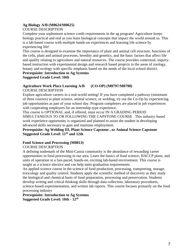### **Ag Biology A/B (M0624/M0625)**

### COURSE DESCRIPTION

Complete your sophomore science credit requirements in the ag program! Agriculture keeps biology practical and real as you learn biological concepts that impact the world around us. This is a lab-based course with multiple hands-on experiences and learning life science by experiencing life!

This course is designed to examine the importance of plant and animal cell structure, functions of the cells, plant and animal processes, heredity and genetics, and the basic factors that affect life and quality relating to agriculture and natural resources. The course provides contextual, inquirybased instruction with experimental design and research based projects in the areas of zoology, botany and ecology with specific emphasis based on the needs of the local school district.

### **Prerequisite: Introduction to Ag Systems Suggested Grade Level: 10th**

### **Agriculture Work Place Learning A/B (CO-OP) (M0797/M0798)**

COURSE DESCRIPTION

Explore agriculture careers in a real-world setting! If you have completed a pathway (minimum of three courses) in plant science, animal science, or welding, try out the Co-Op by experiencing job opportunities as part of your school day. Program completers are placed in job experiences with cooperating employers for an internship-type experience.

This course is OPTIONAL and, if offered, must occur IN A GRADING PERIOD SIMULTANEOUS TO OR FOLLOWING THE CAPSTONE COURSE . This industry-based work experience opportunity is organized and planned to assist the student in developing advanced skills necessary to gain and maintain employment.

### **Prerequisite: Ag Welding III, Plant Science Capstone , or Animal Science Capstone Suggested Grade Level: 11th and 12th**

### **Food Science and Processing (M0813)**

### COURSE DESCRIPTION

A defining trademark of the Mini-Cassia community is the abundance of rewarding career opportunities in food processing in our area. Learn the basics of food science, HACCP plans, and units of operation in a fast-paced, hands-on, exciting lab-based environment. This course is taught as a science elective and can help meet graduation requirements.

An applied science course in the science of food production, processing, transporting, storage, toxicology and quality control. Students apply the scientific method of discovery as they study the biological and chemical basis of food preparation, processing and preservation. Students develop writing and critical thinking skills through data collection, laboratory procedures, science-based experimentation, and written lab reports. This course focuses primarily on the food processing industry

**Prerequisite: Introduction to Ag Systems Suggested Grade Level: 10th - 12th**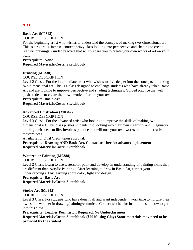# <span id="page-7-0"></span>**ART**

### **Basic Art (M0343)**

### COURSE DESCRIPTION

For the beginning artist who wishes to understand the concepts of making two-dimensional art. This is a rigorous, intense, content heavy class looking into perspective and shading to create realistic drawings. Guided practice that will prepare you to create your own works of art on your own.

### **Prerequisite: None Required Materials/Costs: Sketchbook**

### **Drawing (M0338)**

### COURSE DESCRIPTION

Level 2 Class. For the intermediate artist who wishes to dive deeper into the concepts of making two-dimensional art. This is a class designed to challenge students who have already taken Basic Art and are looking to improve perspective and shading techniques. Guided practice that will push students to create their own works of art on your own.

### **Prerequisite: Basic Art Required Materials/Costs: Sketchbook**

### **Advanced Illustration (M0342)**

### COURSE DESCRIPTION

Level 3 Class. For the advanced artist who looking to improve the skills of making twodimensional art. This class pushes students into looking into their own creativity and imagination to bring their ideas to life. Involves practice that will turn your own works of art into creative masterpieces.

Available for Dual Credit upon approval.

### **Prerequisite: Drawing AND Basic Art, Contact teacher for advanced placement Required Materials/Costs: Sketchbook**

### **Watercolor Painting (M0388)**

COURSE DESCRIPTION

Level 2 Class. Learn to use watercolor paint and develop an understanding of painting skills that are different than Acrylic Painting. After learning to draw in Basic Art, further your understanding art by learning about color, light and design.

### **Prerequisite: Basic Art**

### **Required Materials/Costs: Sketchbook**

### **Studio Art (M0345)**

COURSE DESCRIPTION

Level 3 Class. For students who have done it all and want independent work time to nurture their own skills whether in drawing/painting/ceramics. Contact teacher for instructions on how to get into this class.

### **Prerequisite: Teacher Permission Required, No Underclassmen**

**Required Materials/Costs: Sketchbook (\$20 if using Clay) Some materials may need to be provided by the student**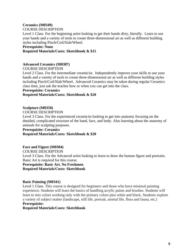### **Ceramics (M0349)** COURSE DESCRIPTION

Level 1 Class. For the beginning artist looking to get their hands dirty, literally. Learn to use your hands and a variety of tools to create three-dimensional art as well as different building styles including Pinch/Coil/Slab/Wheel.

### **Prerequisite: None**

### **Required Materials/Costs: Sketchbook & \$15**

### **Advanced Ceramics (M0387)**

### COURSE DESCRIPTION

Level 2 Class. For the intermediate ceramicist. Independently improve your skills to use your hands and a variety of tools to create three-dimensional art as well as different building styles including Pinch/Coil/Slab/Wheel. Advanced Ceramics may be taken during regular Ceramics class time, just ask the teacher how or when you can get into the class.

### **Prerequisite: Ceramics**

**Required Materials/Costs: Sketchbook & \$20**

### **Sculpture (M0350)**

COURSE DESCRIPTION

Level 3 Class. For the experienced ceramicist looking to get into anatomy focusing on the detailed, complicated structure of the hand, face, and body. Also learning about the anatomy of animals for sculpting purposes.

### **Prerequisite: Ceramics Required Materials/Costs: Sketchbook & \$20**

**Face and Figure (M0384)** COURSE DESCRIPTION Level 3 Class. For the Advanced artist looking to learn to draw the human figure and portraits. Basic Art is required for this course. **Prerequisite: Basic Art. No Freshmen Required Materials/Costs: Sketchbook**

### **Basic Painting (M0341)**

Level 1 Class. This course is designed for beginners and those who have minimal painting experience. Students will learn the basics of handling acrylic paints and brushes. Students will learn to mix colors working only with the primary colors plus white and black. Students explore a variety of subject matter (landscape, still life, portrait, animal life, flora and fauna, etc.)

### **Prerequisite:**

**Required Materials/Costs: Sketchbook**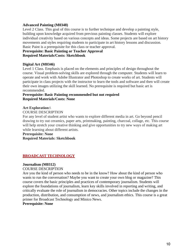### **Advanced Painting (M0348)**

Level 2 Class. This goal of this course is to further technique and develop a painting style, building upon knowledge acquired from previous painting classes. Students will explore individual creativity based on various concepts and ideas. Some projects are based on art history movements and styles requiring students to participate in art history lessons and discussion. Basic Paint is a prerequisite for this class or teacher approval.

### **Prerequisite: Basic Painting or Teacher Approval Required Materials/Costs: Sketchbook**

### **Digital Art (M0346)**

Level 1 Class. Emphasis is placed on the elements and principles of design throughout the course. Visual problem-solving skills are explored through the computer. Students will learn to operate and work with Adobe Illustrator and Photoshop to create works of art. Students will participate in class projects with the instructor to learn the tools and software and then will create their own images utilizing the skill learned. No prerequisite is required but basic art is recommended.

### **Prerequisite: Basic Painting recommended but not required Required Materials/Costs: None**

### **Art Exploration:\**

### COURSE DESCRIPTION

For any level of student artist who wants to explore different media in art. Go beyond pencil drawing to try out ceramics, paper arts, printmaking, painting, charcoal, collage, etc. This course will help stretch your creative thinking and give opportunities to try new ways of making art while learning about different artists.

# **Prerequisite: None**

### **Required Materials: Sketchbook**

### <span id="page-9-0"></span>**BROADCAST TECHNOLOGY**

### **Journalism (M0312)**

### COURSE DESCRIPTION

Are you the kind of person who needs to be in the know? How about the kind of person who wants to run the conversation? Maybe you want to create your own blog or magazine? This course covers the basic principles and practices of contemporary journalism. Students will explore the foundations of journalism, learn key skills involved in reporting and writing, and critically evaluate the role of journalism in democracies. Other topics include the changes in the production, distribution, and consumption of news, and journalism ethics. This course is a great primer for Broadcast Technology and Minico News.

### **Prerequisite: None**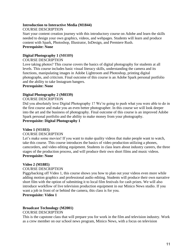### **Introduction to Interactive Media (M1844)**

### COURSE DESCRIPTION

Start your content creation journey with this introductory course on Adobe and learn the skills needed to design your own graphics, videos, and webpages. Students will learn and produce content with Spark, Photoshop, Illustrator, InDesign, and Premiere Rush. **Prerequisite: None**

### **Digital Photography 1 (M0389)**

### COURSE DESCRIPTION

Love taking photos? This course covers the basics of digital photography for students at all levels. This course includes basic visual literacy skills, understanding the camera and its functions, manipulating images in Adobe Lightroom and Photoshop, printing digital photographs, and criticism. Final outcome of this course is an Adobe Spark personal portfolio and the ability to take Instagram bangers.

### **Prerequisite: None**

### **Digital Photography 2 (M0339)**

### COURSE DESCRIPTION

Did you absolutely love Digital Photography 1? We're going to push what you were able to do in the first course and make you an even better photographer. In this course we will look deeper into the art and the business of photography. Final outcome of this course is an improved Adobe Spark personal portfolio and the ability to make money from your photography.

### **Prerequisite: Digital Photography 1**

### **Video 1 (M1883)**

### COURSE DESCRIPTION

Let's make some movies! If you want to make quality videos that make people want to watch, take this course. This course introduces the basics of video production utilizing a phones, camcorders, and video editing equipment. Students in class learn about industry careers, the three stages of the production process, and will produce their own short films and music videos. **Prerequisite: None**

### **Video 2 (M1885)**

### COURSE DESCRIPTION

Piggybacking off Video 1, this course shows you how to plan out your videos even more while adding motion graphics and professional audio editing. Students will produce their own narrative short film with the option of submitting it to local film festivals for cash prizes. We will also introduce workflow of live television production equipment in our Minico News studio. If you want a job in front of or behind the camera, this class is for you.

**Prerequisite: Video 1**

# **Broadcast Technology (M2001)**

### COURSE DESCRIPTION

This is the capstone class that will prepare you for work in the film and television industry. Work as a crew member on our school news program, Minico News, with a focus on television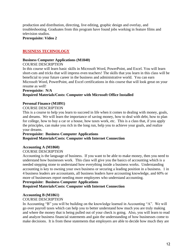production and distribution, directing, live editing, graphic design and overlay, and troubleshooting. Graduates from this program have found jobs working in feature films and television studios.

**Prerequisite: Video 2**

### <span id="page-11-0"></span>**BUSINESS TECHNOLOGY**

### **Business Computer Applications (M1840)**

### COURSE DESCRIPTION

In this course will learn basic skills in Microsoft Word, PowerPoint, and Excel. You will learn short-cuts and tricks that will impress even teachers! The skills that you learn in this class will be beneficial to your future career in the business and administrative world. You can earn Microsoft Word, PowerPoint, and Excel certifications in this course that will look great on your resume as well!

### **Prerequisite: N/A**

### **Required Materials/Costs: Computer with Microsoft Office Installed**

### **Personal Finance (M1891)**

### COURSE DESCRIPTION

This is a course to help you learn to succeed in life when it comes to dealing with money, goals, and dreams. We will learn the importance of saving money, how to deal with debt, how to plan for college, how to buy a car or a house, how taxes work, etc. This is a class that, if you apply the principles, can make you rich in the long run, help you to achieve your goals, and realize your dreams.

### **Prerequisite: Business Computer Applications Required Materials/Costs: Computer with Internet Connection**

### **Accounting A (M1860)**

### COURSE DESCRIPTION

Accounting is the language of business. If you want to be able to make money, then you need to understand how businesses work. This class will give you the basics of accounting which is a needed stepping stone to understand how everything inside a business works. Understanding accounting is key to owning your own business or securing a leading position in a business. 1 in 4 business leaders are accountants, all business leaders have accounting knowledge, and 60% or more of businesses report needing more employees who understand accounting.

### **Prerequisite: Business Computer Applications**

### **Required Materials/Costs: Computer with Internet Connection**

### **Accounting B (M1861)**

### COURSE DESCRIPTION

In Accounting "B" you will be building on the knowledge learned in Accounting "A". We will go over payroll taxes which can help you to better understand how much you are truly making and where the money that is being pulled out of your check is going. Also, you will learn to read and analyze business financial statements and gain the understanding of how businesses come to make decisions. It is from these statements that employers are able to decide how much they are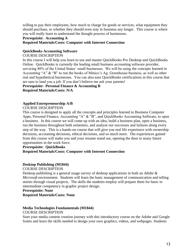willing to pay their employees, how much to charge for goods or services, what equipment they should purchase, or whether they should even stay in business any longer. This course is where you will really learn to understand the thought process of businesses.

### **Prerequisite: Accounting A**

### **Required Materials/Costs: Computer with Internet Connection**

### **QuickBooks Accounting Software**

### COURSE DESCRIPTION

In this course I will help you learn to use and master QuickBooks Pro Desktop and QuickBooks Online. QuickBooks is currently the leading small business accounting software provider, servicing 80% of the United States' small businesses. We will be using the concepts learned in Accounting "A" & "B" to run the books of Minico's Ag. Greenhouse business, as well as other real and hypothetical businesses. You can also earn QuickBooks certifications in this course that are sure to land you a job. If you don't believe me ask your parents!

### **Prerequisite: Personal Finance & Accounting B**

**Required Materials/Costs: N/A**

### **Applied Entrepreneurship A/B**

### COURSE DESCRIPTION

This course is designed to apply all the concepts and principles learned in Business Computer Apps, Personal Finance, Accounting "A" & "B", and QuickBooks Accounting Software, to open a business. In this course we will come up with an idea, build a business plan, open a business, run the business throughout both semesters, and analyze our successes and failures along every step of the way. This is a hands-on course that will give you real life experience with ownership decisions, accounting decisions, ethical decisions, and so much more. The experiences gained from this course will make you and your resume stand out, opening the door to many future opportunities in the work force.

### **Prerequisite: QuickBooks Required Materials/Costs: Computer with Internet Connection**

### **Desktop Publishing (M1844)**

### COURSE DESCRIPTION

Desktop publishing is a general usage survey of desktop applications in both an *Adobe & Microsoft* environment. Students will learn the basic management of communication and telling stories through visual projects. The skills the students employ will prepare them for basic to intermediate competency in graphic project design.

### **Prerequisite: None**

**Required Materials/Costs: None**

### **Media Technologies Fundamentals (M1844)** COURSE DESCRIPTION

Start your media content creation journey with this introductory course on the Adobe and Google Suites and learn the skills needed to design your own graphics, videos, and webpages. Students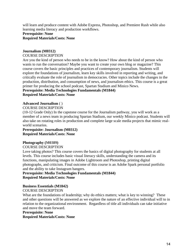will learn and produce content with Adobe Express, Photoshop, and Premiere Rush while also learning media literacy and production workflows.

# **Prerequisite: None Required Materials/Costs: None**

### **Journalism (M0312)**

### COURSE DESCRIPTION

Are you the kind of person who needs to be in the know? How about the kind of person who wants to run the conversation? Maybe you want to create your own blog or magazine? This course covers the basic principles and practices of contemporary journalism. Students will explore the foundations of journalism, learn key skills involved in reporting and writing, and critically evaluate the role of journalism in democracies. Other topics include the changes in the production, distribution, and consumption of news, and journalism ethics. This course is a great primer for producing the school podcast, Spartan Stadium and Minico News.

### **Prerequisite: Media Technologies Fundamentals (M1844) Required Materials/Costs: None**

### **Advanced Journalism** ( )

### COURSE DESCRIPTION

(10-12 Grade Only) In the capstone course for the Journalism pathway, you will work as a member of a news team in producing Spartan Stadium, our weekly Minico podcast. Students will also take on rotating roles in production and complete large scale media projects that mimic realworld scenarios.

### **Prerequisite: Journalism (M0312) Required Materials/Costs: None**

### **Photography (M0389)**

### COURSE DESCRIPTION

Love taking photos? This course covers the basics of digital photography for students at all levels. This course includes basic visual literacy skills, understanding the camera and its functions, manipulating images in Adobe Lightroom and Photoshop, printing digital photographs, and criticism. Final outcome of this course is an Adobe Spark personal portfolio and the ability to take Instagram bangers.

### **Prerequisite: Media Technologies Fundamentals (M1844) Required Materials/Costs: None**

### **Business Essentials (M1842)** COURSE DESCRIPTION

What are the foundations of leadership; why do ethics matters; what is key to winning? These and other questions will be answered as we explore the nature of an effective individual will to in relation to the organizational environment. Regardless of title all individuals can take initiative and move the team forward.

### **Prerequisite: None**

**Required Materials/Costs: None**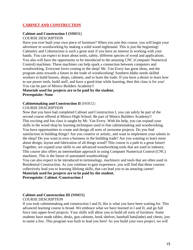### <span id="page-14-0"></span>**CABINET AND CONSTRUCTION**

### **Cabinet and Construction I (M0831)** COURSE DESCRIPTION

Have you ever built your own piece of furniture? When you join this course, you will begin your adventure in woodworking by making a solid wood nightstand. This is just the beginning! Cabinetry and Cobstruction is such a great start if you have an interest in working with your hands. You can expect to learn about tools, safety, different species of wood and applications. You also will have the opportunity to be introduced to the amazing CNC (Computer Numerical Control) machines. These machines can help spark a connection between computers and woodworking. Everyone loves coming to the shop! Mr. Van Every has great ideas, and the program aims towards a future in the trade of woodworking! Southern Idaho needs skilled workers to build houses, shops, cabinets, and to learn the trade. If you have a desire to learn how to use power tools, build stuff, and have a good time while learning, then this class is for you! You can be part of Minico Builders Academy!!

### **Materials used for projects are to be paid by the student. Prerequisite: None**

### **Cabinetmaking and Construction II** (M0832)

### COURSE DESCRIPTION

Now that you have had completed Cabinet and Construction I, you can safely be part of the second course offered at Minico High School. Be part of Minico Builders Academy!! This exciting and fun class is taught by Mr. Van Every. With his help, you can expand your skills in the wood shop by learning techniques used in fine cabinetmaking and woodworking. You have opportunities to create and design all sorts of awesome projects. Do you find satisfaction in building things? Are you creative or artistic, and want to implement your talents in the shop? Do you want to own a business in the building trade? Are you wanting to learn more about design, layout and fabrication of all things wood? This course is a path to a great future! Together, we expand your skills to use advanced woodworking tools that are used in industry. This course also offers an intermediate approach in using Computer Numerical Control (CNC) machines. This is the future of automated woodworking!

You can also expect to be introduced to terminology, machinery and tools that are often used in Residential Construction. As you continue to gain experience, you will find that these courses collectively lead you to learning lifelong skills, that can lead you to an amazing career!

**Materials used for projects are to be paid by the student. Prerequisite: Cabinet /Construction I**

### **Cabinet and Construction III (M0833)**

### COURSE DESCRIPTION

If you took cabinetmaking and construction I and II, this is what you have been waiting for. This advanced learning course is broad. We embrace what we have learned in I and II, and go full force into upper-level projects. Your skills will allow you to build all sorts of furniture. Some students have made tables, desks, gun cabinets, book shelves, baseball bats(lathe) and chests, just to name a few. This program was built to lead you here! As you build your own project, we will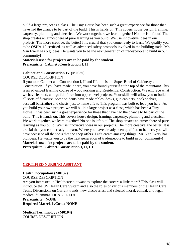build a large project as a class. The Tiny House has been such a great experience for those that have had the chance to be part of the build. This is hands on. This covers house design, framing, carpentry, plumbing and electrical. We work together, we learn together! No one is left out! The shop creates an atmosphere of pure learning as you build. We use innovative ideas in our projects. The more creative, the better! It is crucial that you come ready to learn. We qualify you to be OSHA-10 certified, as well as advanced safety protocols involved in the building trade. Mr. Van Every has big ideas. He wants you to be the next generation of tradespeople to build in our community!

### **Materials used for projects are to be paid by the student. Prerequisite: Cabinet /Construction I, II**

### **Cabinet and Construction IV (M0839)**

### COURSE DESCRIPTION

If you took Cabinet and Construction I, II and III, this is the Super Bowl of Cabinetry and Construction! If you have made it here, you have found yourself at the top of the mountain! This is an advanced learning course of woodworking and Residential Construction. We embrace what we have learned, and go full force into upper level projects. Your skills will allow you to build all sorts of furniture. Some students have made tables, desks, gun cabinets, book shelves, baseball bats(lathe) and chests, just to name a few. This program was built to lead you here! As you build your own project, we will build a large project as a class, which has been a Tiny House. It has been such a great experience for those that have had the chance to be part of the build. This is hands on. This covers house design, framing, carpentry, plumbing and electrical. We work together, we learn together! No one is left out! The shop creates an atmosphere of pure learning as you build. We use innovative ideas in our projects. The more creative, the better! It is crucial that you come ready to learn. Where you have already been qualified to be here, you will have access to all the tools that the shop offers. Let's create amazing things! Mr. Van Every has big ideas. He wants you to be the next generation of tradespeople to build in our community! **Materials used for projects are to be paid by the student. Prerequisite: Cabinet/Construction I, II, III**

### <span id="page-15-0"></span>**CERTIFIED NURSING ASSITANT**

### **Health Occupation (M0137)**

COURSE DESCRIPTION

Are you interested in Healthcare but want to explore the careers a little more? This class will introduce the US Health Care System and also the roles of various members of the Health Care Team. Discussions on Current trends, new discoveries; and selected moral, ethical, and legal medical dilemmas. DUAL CREDIT **Prerequisite: NONE**

**Required Materials/Costs: NONE**

**Medical Terminology (M0104)** COURSE DESCRIPTION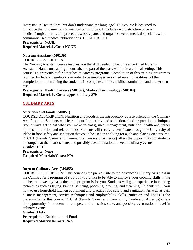Interested in Health Care, but don't understand the language? This course is designed to introduce the fundamentals of medical terminology. It includes word structure of basic medical/surgical terms and procedures; body parts and organs selected medical specialties; and commonly used medical abbreviations. DUAL CREDIT

### **Prerequisite: NONE Required Materials/Cost: NONE**

### **Nursing Assistant (M0139**)

### COURSE DESCRIPTION

The Nursing Assistant course teaches you the skill needed to become a Certified Nursing Assistant. Hands on training in our lab, and part of the class will be in a clinical setting. This course is a prerequisite for other health careers/ programs. Completion of this training program is required by federal regulations in order to be employed in skilled nursing facilities. At the completion of the training the student will complete a clinical skills examination and the written test.

### **Prerequisite: Health Careers (M0137), Medical Terminology (M0104) Required Materials/ Cost: approximately \$70**

# <span id="page-16-0"></span>**CULINARY ARTS**

### **Nutrition and Foods (M0851)**

COURSE DESCRIPTION: Nutrition and Foods is the introductory course offered in the Culinary Arts Program. Students will learn about food safety and sanitation, food preparation techniques (you always get to eat what you make in class), meal management, nutrition, health and career options in nutrition and related fields. Students will receive a certificate through the University of Idaho in food safety and sanitation that could be used in applying for a job and placing on a resume. FCCLA (Family Career and Community Leaders of America) offers the opportunity for students to compete at the district, state, and possibly even the national level in culinary events. **Grades: 10-12**

# **Prerequisite: None Required Materials/Costs: N/A**

### I**ntro to Culinary Arts (M0855)**

COURSE DESCRIPTION: This course is the prerequisite to the Advanced Culinary Arts class in the Culinary Arts program of study. If you'd like to be able to improve your cooking skills in the kitchen on a weekly basis then this program is for you. Students will gain experience in cooking techniques such as frying, baking, sauteing, poaching, broiling, and steaming. Students will learn how to use household kitchen equipment and practice food safety and sanitation. As well as gain business management, service techniques and employability skills. Nutrition and Foods is the prerequisite for this course. FCCLA (Family Career and Community Leaders of America) offers the opportunity for students to compete at the district, state, and possibly even national level in culinary events.

### **Grades: 11-12**

**Prerequisite: Nutrition and Foods Required Materials/Costs: N/A**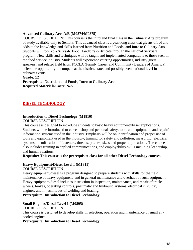### **Advanced Culinary Arts A/B (M0874/M0875)**

COURSE DESCRIPTION: This course is the third and final class in the Culinary Arts program of study available only to Seniors. This advanced class is a year-long class that gleans off of and adds to the knowledge and skills learned from Nutrition and Foods, and Intro to Culinary Arts. Students will receive a Servsafe Food Handler's certificate through the national ServSafe program. New skills and techniques will be taught and implemented comparable to those seen in the food service industry. Students will experience catering opportunities, industry guest speakers, and related field trips. FCCLA (Family Career and Community Leaders of America) offers the opportunity to compete at the district, state, and possibly even national level in culinary events.

### **Grade: 12**

**Prerequisite: Nutrition and Foods, Intro to Culinary Arts Required Materials/Costs: N/A** 

### <span id="page-17-0"></span>**DIESEL TECHNOLOGY**

### **Introduction to Diesel Technology (M1810)**

### COURSE DESCRIPTION

This course is designed to introduce students to basic heavy equipment/diesel applications. Students will be introduced to current shop and personal safety, tools and equipment, and repair/ information systems used in the industry. Emphasis will be on identification and proper use of tools and equipment used in the industry, training for safety and pollution, measuring, electrical systems, identification of fasteners, threads, pitches, sizes and proper applications. The course also includes training in applied communications, and employability skills including leadership, and human relations.

### **Requisite: This course is the prerequisite class for all other Diesel Technology courses.**

### **Heavy Equipment/Diesel Level I (M1811)**

### COURSE DESCRIPTION

Heavy equipment/diesel is a program designed to prepare students with skills for the field maintenance of heavy equipment, and in general maintenance and overhaul of such equipment. Heavy equipment/diesel includes instruction in inspection, maintenance, and repair of tracks, wheels, brakes, operating controls, pneumatic and hydraulic systems, electrical circuitry, engines, and in techniques of welding and brazing.

### **Prerequisite: Introduction to Diesel Technology**

### **Small Engines/Diesel Level I (M0895)**

### COURSE DESCRIPTION

This course is designed to develop skills in selection, operation and maintenance of small aircooled engines.

### **Prerequisite: Introduction to Diesel Technology**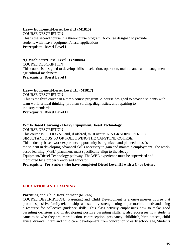### **Heavy Equipment/Diesel Level II (M1815)**

COURSE DESCRIPTION This is the second course in a three-course program. A course designed to provide students with heavy equipment/diesel applications. **Prerequisite: Diesel Level I**

### **Ag Machinery/Diesel Level II (M0804)**

COURSE DESCRIPTION This course is designed to develop skills in selection, operation, maintenance and management of agricultural machinery. **Prerequisite: Diesel Level I**

### **Heavy Equipment/Diesel Level III (M1817)**

COURSE DESCRIPTION

This is the third course in a three-course program. A course designed to provide students with team work, critical thinking, problem solving, diagnostics, and repairing to industry standards.

**Prerequisite: Diesel Level II**

# **Work-Based Learning - Heavy Equipment/Diesel Technology**

COURSE DESCRIPTION

This course is OPTIONAL and, if offered, must occur IN A GRADING PERIOD SIMULTANEOUS TO OR FOLLOWING THE CAPSTONE COURSE. This industry-based work experience opportunity is organized and planned to assist the student in developing advanced skills necessary to gain and maintain employment. The workbased learning (WBL) placement must specifically align to the Heavy Equipment/Diesel Technology pathway. The WBL experience must be supervised and monitored by a properly endorsed educator.

**Prerequisite: For Seniors who have completed Diesel Level III with a C- or better.**

### <span id="page-18-0"></span>**EDUCATION AND TRAINING**

### **Parenting and Child Development (M0865)**

COURSE DESCRIPTION: Parenting and Child Development is a one-semester course that promotes positive family relationships and stability, strengthening of parent/child bonds and being a resource for collective guidance skills. This class actively emphasizes how to make good parenting decisions and in developing positive parenting skills, it also addresses how students came to be who they are, reproduction, contraception, pregnancy, childbirth, birth defects, child abuse, divorce, infant and child care, development from conception to early school age, Students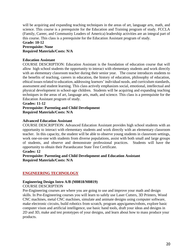will be acquiring and expanding teaching techniques in the areas of art, language arts, math, and science. This course is a prerequisite for the Education and Training program of study. FCCLA (Family, Career, and Community Leaders of America) leadership activities are an integral part of this course. This class is a prerequisite for the Education Assistant program of study.

### **Grade: 10-12 Prerequisite: None Required Materials/Costs: N/A**

### **Education Assistant**

COURSE DESCRIPTION: Education Assistant is the foundation of education course that will allow high school students the opportunity to interact with elementary students and work directly with an elementary classroom teacher during their senior year. The course introduces students to the benefits of teaching, careers in education, the history of education, philosophy of education, ethical issues related to education, addressing learners' individual needs, and curriculum standards, assessment and student learning. This class actively emphasizes social, emotional, intellectual and physical development in school-age children. Students will be acquiring and expanding teaching techniques in the areas of art, language arts, math, and science. This class is a prerequisite for the Education Assistant program of study.

**Grades: 11-12**

### **Prerequisite: Parenting and Child Development Required Materials/Costs: N/A**

### **Advanced Education Assistant**

COURSE DESCRIPTION: Advanced Education Assistant provides high school students with an opportunity to interact with elementary students and work directly with an elementary classroom teacher. In this capacity, the student will be able to observe young students in classroom settings, work one-on-one with students from diverse populations, assist with both small and large groups of students, and observe and demonstrate professional practices. Students will have the opportunity to obtain their Paraeducator State Test Certificate.

### **Grades: 12**

**Prerequisite: Parenting and Child Development and Education Assistant Required Materials/Costs: N/A** 

### <span id="page-19-0"></span>**ENGINEERING TECHNOLOGY**

### **Engineering Design Intro A/B (M0818/M0819)**

### COURSE DESCRIPTION

Pre-Engineering courses are where you are going to use and improve your math and design skills. In Pre-Engineering courses you will learn to safely use Laser Cutters, 3D Printers, Wood CNC machines, metal CNC machines, simulate and animate designs using computer software, make electronic circuits, build robotics from scratch, program apps/games/robots, explore basic computer vison and artificial intelligence, use basic hand tools, draft your ideas and designs in 2D and 3D, make and test prototypes of your designs, and learn about how to mass produce your products.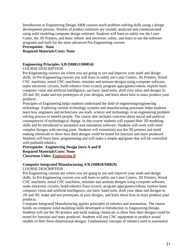Introduction to Engineering Design A&B courses teach problem-solving skills using a design development process. Models of product solutions are created, analyzed and communicated using solid modeling computer design software. Students will learn to safely use the Laser Cutter, the 3D Printers, and basic robotic and electronic safety, and learn to use the software programs and tools for the more advanced Pre-Engineering courses.

### **Prerequisite: None**

### **Required Materials/Costs: None**

### **Engineering Principles A/B (M0853/M0854)**

### COURSE DESCRIPTION

Pre-Engineering courses are where you are going to use and improve your math and design skills. In Pre-Engineering courses you will learn to safely use Laser Cutters, 3D Printers, Wood CNC machines, metal CNC machines, simulate and animate designs using computer software, make electronic circuits, build robotics from scratch, program apps/games/robots, explore basic computer vison and artificial intelligence, use basic hand tools, draft your ideas and designs in 2D and 3D, make and test prototypes of your designs, and learn about how to mass produce your products.

Principles of Engineering helps students understand the field of engineering/engineering technology. Exploring various technology systems and manufacturing processes helps students learn how engineers and technicians use math, science and technology in an engineering problem solving process to benefit people. The course also includes concerns about social and political consequences of technological change. In this course students will expand their 3D modeling skills and be introduced to animation and simulation software. Students will work with more complex designs with moving parts. Students will extensively use the 3D printers and mold making chemicals to show how their designs could be tested for function and mass produced. Students will learn basic programming and will make a simple app/game that will be controlled with prebuild robotics.

### **Prerequisite: Engineering Design Intro A and B Required Materials/Costs: None Classroom Video: [Engineering B](https://www.minidokaschools.org/cms/lib/ID49000027/Centricity/Domain/8/Course%20Descriptions-Engineering.mp4)**

### **Computer Integrated Manufacturing A/B (M0828/M0829)** COURSE DESCRIPTION

Pre-Engineering courses are where you are going to use and improve your math and design skills. In Pre-Engineering courses you will learn to safely use Laser Cutters, 3D Printers, Wood CNC machines, metal CNC machines, simulate and animate designs using computer software, make electronic circuits, build robotics from scratch, program apps/games/robots, explore basic computer vison and artificial intelligence, use basic hand tools, draft your ideas and designs in 2D and 3D, make and test prototypes of your designs, and learn about how to mass produce your products.

Computer Integrated Manufacturing applies principles of robotics and automation. The course builds on computer solid modeling skills developed in Introduction to Engineering Design. Students will use the 3D printers and mold making chemicals to show how their designs could be tested for function and mass produced. Students will use CNC equipment to produce actual models of their three-dimensional designs. Fundamental concepts of robotics used in automated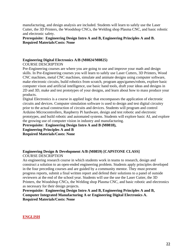manufacturing, and design analysis are included. Students will learn to safely use the Laser Cutter, the 3D Printers, the Woodshop CNCs, the Welding shop Plasma CNC, and basic robotic and electronic safety.

**Prerequisite: Engineering Design Intro A and B, Engineering Principles A and B. Required Materials/Costs: None**

### **Engineering Digital Electronics A/B (M0824/M0825)** COURSE DESCRIPTION

Pre-Engineering courses are where you are going to use and improve your math and design skills. In Pre-Engineering courses you will learn to safely use Laser Cutters, 3D Printers, Wood CNC machines, metal CNC machines, simulate and animate designs using computer software, make electronic circuits, build robotics from scratch, program apps/games/robots, explore basic computer vison and artificial intelligence, use basic hand tools, draft your ideas and designs in 2D and 3D, make and test prototypes of your designs, and learn about how to mass produce your products.

Digital Electronics is a course in applied logic that encompasses the application of electronic circuits and devices. Computer simulation software is used to design and test digital circuitry prior to the actual construction of circuits and devices. Students will program and control Arduino Microcontrollers, Raspberry Pi hardware, design and test robotic and electronic prototypes, and build robotic and automated systems. Students will explore basic AI, and explore the growing use of computer vision in industry and manufacturing.

**Prerequisite: Engineering Design Intro A and B (M0818),** 

**Engineering Principles A and B** 

**Required Materials/Costs: None**

### **Engineering Design & Development A/B (M0859) [CAPSTONE CLASS]** COURSE DESCRIPTION

An engineering research course in which students work in teams to research, design and construct a solution to an open-ended engineering problem. Students apply principles developed in the four preceding courses and are guided by a community mentor. They must present progress reports, submit a final written report and defend their solutions to a panel of outside reviewers at the end of the school year. Students will use the use the Laser Cutter, the 3D Printers, the Woodshop CNCs, the Welding shop Plasma CNC, and basic robotic and electronics as necessary for their design projects.

**Prerequisite: Engineering Design Intro A and B, Engineering Principles A and B, Computer Integrated Manufacturing A or Engineering Digital Electronics A. Required Materials/Costs: None**

### <span id="page-21-0"></span>**ENGLISH**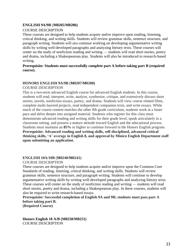### **ENGLISH 9A/9B** (**M0205/M0206)**

### COURSE DESCRIPTION

These courses are designed to help students acquire and/or improve upon reading, listening, critical thinking, and writing skills. Students will review grammar skills, sentence structure, and paragraph writing. Students will also continue working on developing argumentative writing skills by writing well-developed paragraphs and analyzing literary texts. These courses will center on the study of nonfiction reading and writing — students will read short stories, poetry and drama, including a Shakespearean play. Students will also be introduced to research-based writing.

### **Prerequisite: Students must successfully complete part A before taking part B (required course).**

### **HONORS ENGLISH 9A/9B** (**M0207/M0208)**

### COURSE DESCRIPTION

This is a two-term advanced English course for advanced English students. In this course, students will read, interpret, write, analyze, synthesize, critique, and extensively discuss short stories, novels, nonfiction essays, poetry, and drama. Students will view course related films, complete multi-layered projects, read independent companion texts, and write essays. While much of the course content matches the other 9th grade curriculum, students work at a faster pace and delve deeper into assigned material. Students who register for this class must demonstrate advanced reading and writing skills for their grade level, speak articulately in a classroom setting, and possess a mature attitude toward English and the educational process. Students must maintain an **85%** or higher to continue forward in the Honors English program. **Prerequisite: Advanced reading and writing skills, self-disciplined, advanced critical thinking skills, 'A' average in English 8, and approval by Minico English Department staff upon submitting an application**.

### **ENGLISH 10A/10B** (**M0240/M0241)**

### COURSE DESCRIPTION

These courses are designed to help students acquire and/or improve upon the Common Core Standards of reading, listening, critical thinking, and writing skills. Students will review grammar skills, sentence structure, and paragraph writing. Students will continue to develop argumentative writing skills by writing well-developed paragraphs and analyzing literary texts. These courses will center on the study of nonfiction reading and writing — students will read short stories, poetry and drama, including a Shakespearean play. In these courses, students will also be required to write research-based essays.

**Prerequisite: Successful completion of English 9A and 9B; students must pass part A before taking part B.**

**(Required Course)**

**Honors English 10 A/B (M0250/M0251)** COURSE DESCRIPTION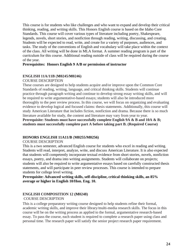This course is for students who like challenges and who want to expand and develop their critical thinking, reading, and writing skills. This Honors English course is based on the Idaho Core Standards. This course will cover various types of literature including poetry, Shakespeare, legends, novels, short stories, and nonfiction through reading, writing, discussing, and creating. Students will be expected to read, write, and create for a variety of purposes, audiences, and tasks. The study of the conventions of English and vocabulary will take place within the context of the class. All writing will be done in MLA format. A summer reading program is part of the curriculum for this course. Additional reading outside of class will be required during the course of the year.

### **Prerequisites: Honors English 9 A/B or permission of instructor**

### **ENGLISH 11A/11B** (**M0245/M0246)**

### COURSE DESCRIPTION

These courses are designed to help students acquire and/or improve upon the Common Core Standards of reading, writing, language, and critical thinking skills. Students will continue practice through paragraph writing and continue to develop strong essay writing skills, and will be required to write argumentative-based essays; students will also be introduced more thoroughly to the peer review process. In this course, we will focus on organizing and evaluating evidence to develop logical and focused claims: thesis statements. Additionally, this course will study American Literature that includes fiction, nonfiction and drama. Because there is so much literature available for study, the content and literature may vary from year to year.

**Prerequisite: Students must have successfully complete English 9A & B and 10A & B; students must successfully complete part A before taking part B. (Required Course)**

### **HONORS ENGLISH 11A11/B** (**M0255/M0256)**

### COURSE DESCRIPTION

This is a two semester, advanced English course for students who excel in reading and writing. Students will read, interpret, analyze, write, and discuss American Literature. It is also expected that students will competently incorporate textual evidence from short stories, novels, nonfiction essays, poetry, and drama into writing assignments. Students will collaborate on projects; students will also be required to write argumentative essays based on carefully constructed thesis statements, and will participate in peer review processes. This course is intended to prepare students for college level writing.

**Prerequisite: Advanced writing skills, self-discipline, critical thinking skills, an 85% average or higher in English 10/Hon. Eng. 10.**

### **ENGLISH COMPOSITION 12 (M0248)** COURSE DESCRIPTION

This is a college preparatory writing course designed to help students refine their formal, academic writing skills, and improve their library/multi-media research skills. The focus in this course will be on the writing process as applied to the formal, argumentative research-based essay. To pass the course, each student is required to complete a research paper using class and personal time. The research paper will satisfy the senior project research paper requirement.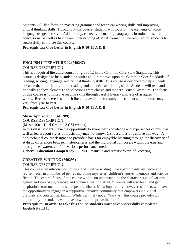Students will also focus on mastering grammar and technical writing skills and improving critical thinking skills. Throughout this course, students will focus on the elements of voice, language usage, and style. Additionally, correctly formatting paragraphs, introductions, and conclusions, as well as having an understanding of MLA format will be required for students to successfully complete this course.

### **Prerequisites: C or better in English 9-10-11 A & B**

### **ENGLISH LITERATURE 12 (M0247)**

### COURSE DESCRIPTION

This is a required literature course for grade 12 in the Common Core State Standards. This course is designed to help students acquire and/or improve upon the Common Core Standards of reading, writing, language, and critical thinking skills. This course is designed to help students advance their nonfiction/fiction reading and and critical thinking skills. Students will read and critically analyze elements and selections from classic and modern British Literature. The focus of this course is to improve reading skills through careful literary analysis of assigned works. Because there is so much literature available for study, the content and literature may vary from year to year.

### **Prerequisites: C or better in English 9-10-11 A & B**

### **Music Appreciation (M0289)**

### COURSE DESCRIPTION

### (Music 100 – Dual Credit – 3 CSI credits)

In this class, students have the opportunity to share their knowledge and experiences of music as well as learn about styles of music they may not know. CSI describes this course this way: A non-technical course designed to provide a basis for enjoyable listening through the discovery of stylistic differences between historical eras and the individual composers within the eras and through the awareness of the various performance media.

**General Education Competency:** GEM Humanistic and Artistic Ways of Knowing

### **CREATIVE WRITING (M0295)**

### COURSE DESCRIPTION

This course is an introduction to the art of creative writing. Class participants will write and revise pieces in a number of genres including mysteries, children's stories, memoirs and science fiction. The central focus of this course will be on understanding the characteristics of various genres and improving creative and technical writing skills. Students will also learn and gain inspiration from mentor texts and peer feedback. Most importantly, however, students will have the opportunity to engage in a supportive, creative community that empowers individual curiosity and artistic risk taking. While definitely not an "easy A," this course provides an opportunity for students who love to write to improve their craft.

### **Prerequisite: In order to take this course students must have successfully completed English 9 and 10.**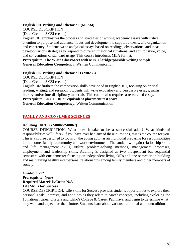### **English 101 Writing and Rhetoric I (M0234)**

COURSE DESCRIPTION

(Dual Credit – 3 CSI credits)

English 101 emphasizes the process and strategies of writing academic essays with critical attention to purpose and audience; focus and development to support a thesis; and organization and coherency. Students write analytical essays based on readings, observations, and ideas: develop various strategies to respond to different rhetorical situations; and edit for style, voice, and conventions of standard usage. This course introduces MLA format.

**Prerequisite: The Write Class/Meet with Mrs. Claridge/possible writing sample General Education Competency:** Written Communication

### **English 102 Writing and Rhetoric II (M0233)**

COURSE DESCRIPTION

(Dual Credit – 3 CSI credits)

English 102 furthers the composition skills developed in English 101, focusing on critical reading, writing, and research. Students will write expository and persuasive essays, using literary and/or interdisciplinary materials. This course also requires a researched essay.

**Prerequisite**: **[ENGL 101](https://csi.smartcatalogiq.com/2020-2021/Catalog/Courses/ENGL-English/100/ENGL-101) or equivalent placement test score**

**General Education Competency**: Written Communication

### <span id="page-25-0"></span>**FAMILY AND CONSUMER SCIENCES**

### **Adulting 101/102 (M0866/M0867)**

COURSE DESCRIPTION: What does it take to be a successful adult? What kinds of responsibilities will I face? If you have ever had any of these questions, this is the course for you. This is a course designed to focus on the young adult as an individual preparing for responsibilities in the home, family, community and work environment. The student will gain relationship skills and life management skills, utilize problem-solving methods, management processes, employment, and leadership skills. Adulting is designed as two independent but sequential semesters with one-semester focusing on independent living skills and one-semester on building and maintaining healthy interpersonal relationships among family members and other members of society.

### **Grade: 11-12 Prerequisite: None Required Materials/Costs: N/A Life Skills for Success**

COURSE DESCRIPTION: Life Skills for Success provides students opportunities to explore their personal goals, interests, and aptitudes as they relate to career concepts, including exploring the 16 national career clusters and Idaho's College & Career Pathways, and begin to determine what they want and expect for their future. Students learn about various traditional and nontraditional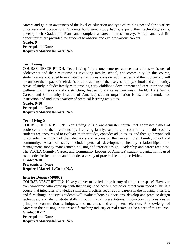careers and gain an awareness of the level of education and type of training needed for a variety of careers and occupations. Students build good study habits, expand their technology skills, develop their Graduation Plans and complete a career interest survey. Virtual and real life opportunities are provided for students to observe and explore various careers.

# **Grade: 9 Prerequisite: None**

# **Required Materials/Costs: N/A**

### **Teen Living 1**

COURSE DESCRIPTION: Teen Living 1 is a one-semester course that addresses issues of adolescents and their relationships involving family, school, and community. In this course, students are encouraged to evaluate their attitudes, consider adult issues, and then go beyond self to consider the impact of their decisions and actions on themselves, family, school and community. Areas of study include: family relationships, early childhood development and care, nutrition and wellness, clothing care and construction, leadership and career readiness. The FCCLA (Family, Career, and Community Leaders of America) student organization is used as a model for instruction and includes a variety of practical learning activities.

# **Grade: 9-10**

### **Prerequisite: None Required Materials/Costs: N/A**

### **Teen Living 2**

COURSE DESCRIPTION: Teen Living 2 is a one-semester course that addresses issues of adolescents and their relationships involving family, school, and community. In this course, students are encouraged to evaluate their attitudes, consider adult issues, and then go beyond self to consider the impact of their decisions and actions on themselves, their family, school and community. Areas of study include: personal development, healthy relationships, time management, money management, housing and interior design, leadership and career readiness. The FCCLA (Family, Career, and Community Leaders of America) student organization is used as a model for instruction and includes a variety of practical learning activities.

### **Grade: 9-10**

**Prerequisite: None Required Materials/Costs: N/A** 

### **Interior Design (M0863)**

COURSE DESCRIPTION: Have you ever marveled at the beauty of an interior space? Have you ever wondered who came up with that design and how? Does color affect your mood? This is a course that integrates knowledge skills and practices required for careers in the housing, interiors, and furnishings industry. Students will evaluate housing decisions, develop and practice design techniques, and demonstrate skills through visual presentations. Instruction includes design principles, construction techniques, and materials and equipment selection. A knowledge of careers in the housing, interiors and furnishing industry or real estate is also a part of this course. **Grade: 10 -12**

**Prerequisite: None Required Materials/Costs: N/A**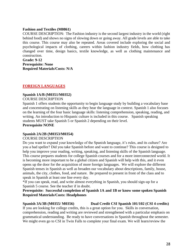### **Fashion and Textiles (M0861)**

COURSE DESCRIPTION: The Fashion industry is the second largest industry in the world (right behind food) and shows no signs of slowing down or going away. All grade levels are able to take this course. This course may also be repeated. Areas covered include exploring the social and psychological impacts of clothing, careers within fashion industry fields, how clothing has changed over time, design basics, textile knowledge, as well as clothing maintenance and construction.

**Grade: 9-12 Prerequisite: None Required Materials/Costs: N/A** 

### <span id="page-27-0"></span>**FOREIGN LANGUAGES**

### **Spanish 1A/B (M0351/M0352)**

### COURSE DESCRIPTION

Spanish 1 offers students the opportunity to begin language study by building a vocabulary base and concentrating on listening skills as they hear the language in context. Spanish 1 also focuses on the learning of the four basic language skills: listening comprehension, speaking, reading, and writing. An introduction to Hispanic culture is included in this course. Spanish speaking students MUST take Spanish 5 or Spanish 2 depending on their level. **Prerequisite NONE**

### **Spanish 2A/2B (M0353/M0354)**

### COURSE DESCRIPTION

Do you want to expand your knowledge of the Spanish language, it's rules, and its culture? Are you a bad speller? Did you take Spanish before and want to continue? This course is designed to help you improve your reading, writing, speaking, and listening skills of the Spanish language. This course prepares students for college Spanish courses and for a more interconnected world. It is becoming more important to be a global citizen and Spanish will help with this, and it even opens up the door for the acquisition of more foreign languages. We will explore the different Spanish tenses in Spanish as well as broaden our vocabulary about descriptions, family, house, animals, the city, clothes, food, and nature. Be prepared to present in front of the class and to speak in Spanish at least one line every day.

\*If you can speak, read, and write almost everything in Spanish, you should sign-up for a Spanish 5 course. See the teacher if in doubt.

**Prerequisite: Successful completion of Spanish 1A and 1B or know some spoken Spanish Required Materials/Costs: Headphones**

# **Spanish 3A/3B (M0355/ M0356) Dual Credit CSI Spanish 101/102 (CSI 4 credits)**

If you are looking for college credits, this is a great option for you. Skills in conversation, comprehension, reading and writing are reviewed and strengthened with a particular emphasis on grammatical understanding. Be ready to have conversations in Spanish throughout the semester. We might even go to CSI in Twin Falls to complete your final exam. We will learn/review the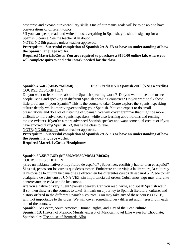past tense and expand our vocabulary skills. One of our mains goals will be to be able to have conversations of different topics.

\*If you can speak, read, and write almost everything in Spanish, you should sign-up for a Spanish 5 course. See the teacher if in doubt.

NOTE: NO 9th graders unless teacher approved.

**Prerequisite: Successful completion of Spanish 2A & 2B or have an understanding of how the Spanish language works.**

**Required Materials/Costs: You are required to purchase a \$160.00 online lab, where you will complete quizzes and other work needed for the class.**

**Spanish 4A/4B (M0357/M0358) Dual Credit NNU Spanish 2010 (NNU 4 credits)**

COURSE DESCRIPTION

Do you want to learn more about the Spanish speaking world? Do you want to be able to see people living and speaking in different Spanish speaking countries? Do you want to fix those little problems in your Spanish? This is the course to take! Come explore the Spanish speaking culture deeply while improving/expanding your Spanish. You can expect to do small presentations and do a lot of listening of Spanish. We will cover grammar that might be more difficult to more advanced Spanish speakers, while also learning about idioms and reciting tongue-twisters. If you're a more advanced Spanish speaker and want some dual credits or if you have enjoyed taking Spanish 1-3, this is the class to take.

NOTE: NO 9th graders unless teacher approved.

**Prerequisite: Successful completion of Spanish 2A & 2B or have an understanding of how the Spanish language works.**

**Required Materials/Costs: Headphones**

### **Spanish 5A/5B/5C/5D (M0359/M0360/M0361/M0362)**

COURSE DESCRIPTION

¿Eres un hablante nativo o muy fluido de español? ¿Sabes leer, escribir y hablar bien el español? Si es así, jestos son los cursos que debes tomar! Embárcate en un viaje a la literatura, la cultura y la historia de la cultura hispana que se ofrecen en los diferentes cursos de español 5. Puede tomar cualquiera de estos cursos UNA VEZ, sin importancia del orden. Cubriremos algo muy diferente e interesante en cada uno de los cursos.

Are you a native or very fluent Spanish speaker? Can you read, write, and speak Spanish well? If so, then these are the courses to take! Embark on a journey to Spanish literature, culture, and history offered in the different Spanish 5 courses. You may take any of these courses ONCE, with not importance to the order. We will cover something very different and interesting in each one of the courses.

**Spanish 5A**: Poetry, South America, Human Rights, and Day of the Dead culture **Spanish 5B**: History of Mexico, Murals, excerpt of Mexican novel Like water for Chocolate, Spanish play The house of Bernarda Alba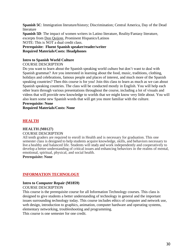**Spanish 5C**: Immigration literature/history; Discrimination; Central America, Day of the Dead literature

**Spanish 5D**: The impact of women writers in Latino literature, Reality/Fantasy literature, excerpts from Don Quijote, Prominent Hispanics/Latinos NOTE: This is NOT a dual credit class.

**Prerequisite: Fluent Spanish speaker/reader/writer Required Materials/Costs: Headphones**

### **Intro to Spanish World Culture**

### COURSE DESCRIPTION

Do you want to learn about the Spanish speaking world culture but don't want to deal with Spanish grammar? Are you interested in learning about the food, music, traditions, clothing, holidays and celebrations, famous people and places of interest, and much more of the Spanish speaking countries? Then this course is for you! Join this class to learn as much as we can about Spanish speaking countries. The class will be conducted mostly in English. You will help each other learn through various presentations throughout the course, including a lot of visuals and videos that will provide new knowledge to worlds that we might know very little about. You will also learn some new Spanish words that will get you more familiar with the culture.

### **Prerequisite: None**

**Required Materials/Costs: None**

### <span id="page-29-0"></span>**HEALTH**

### **HEALTH** *(***M0127)**

### COURSE DESCRIPTION

All tenth graders are required to enroll in Health and is necessary for graduation. This one semester class is designed to help students acquire knowledge, skills, and behaviors necessary to live a healthy and balanced life. Students will study and work independently and cooperatively to develop a better understanding of critical issues and enhancing behaviors in the realms of mental, emotional, spiritual, physical, and social health.

**Prerequisite: None**

### <span id="page-29-1"></span>**INFORMATION TECHNOLOGY**

### **Intro to Computer Repair (M1859)**

### COURSE DESCRIPTION

This course is the prerequisite course for all Information Technology courses. This class is designed to give students a better understanding of technology in general and the important issues surrounding technology today. This course includes ethics of computer and network use, web design, introduction to graphics, animation, computer hardware and operating systems, elementary networking, troubleshooting and programming.

This course is one semester for one credit.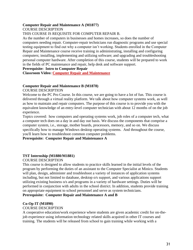### **Computer Repair and Maintenance A (M1877)**

COURSE DESCRIPTION

### THIS COURSE IS REQUISITE FOR COMPUTER REPAIR B.

As the number of computers in businesses and homes increases, so does the number of computers needing repair. Computer-repair technicians run diagnostic programs and use special testing equipment to find out why a computer isn't working. Students enrolled in the Computer Repair and Maintenance course receive training in administrating, installing and configuring computers; installing, implementing and utilizing software; and upgrading and troubleshooting personal computer hardware. After completion of this course, students will be prepared to work in the fields of PC maintenance and repair, help desk and software support.

### **Prerequisite: Intro to Computer Repair**

**Classroom Video: [Computer Repair and Maintenance](https://www.minidokaschools.org/cms/lib/ID49000027/Centricity/Domain/8/Course%20Descriptions-Computer%20Repair.mp4)**

### **Computer Repair and Maintenance B (M1878)**

COURSE DESCRIPTION

Welcome to the PC Pro Course. In this course, we are going to have a lot of fun. This course is delivered through a virtual reality platform. We talk about how computer systems work, as well as how to maintain and repair computers. The purpose of this course is to provide you with the equivalent knowledge of an entry-level computer technician with about 12 months of on the job experience.

Topics covered: how computers and operating systems work, job roles of a computer tech, what a computer tech does on a day in and day out basis. We discuss the components that comprise a computer system, i.e., storage, mother boards, processors, memory, and so on. We discuss specifically how to manage Windows desktop operating systems. And throughout the course, you'll learn how to troubleshoot common computer problems.

### **Prerequisite: Computer Repair and Maintenance A**

### **TST Internship (M1880/M1881)**

### COURSE DESCRIPTION

This course is designed to allow students to practice skills learned in the initial levels of the program by performing the duties of an assistant to the Computer Specialist at Minico. Students will plan, design, administer and troubleshoot a variety of instances of application systems including, but not limited to database, desktop o/s support, and various applications support utilizing existing business o/s and programs in a variety of hardware settings. Duties will be performed in conjunction with adults in the school district. In addition, students provide training on appropriate equipment to school personnel and serve as system technicians.

### **Prerequisite: Computer Repair and Maintenance A and B**

### **Co-Op IT (M1890)**

### COURSE DESCRIPTION

A cooperative education/work experience where students are given academic credit for on-thejob experience using information technology related skills acquired in other IT courses and training. The students will be released from school to gain training while working with a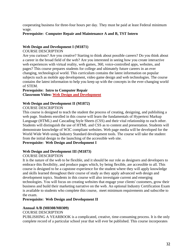cooperating business for three-four hours per day. They must be paid at least Federal minimum wage.

### **Prerequisite: Computer Repair and Maintenance A and B, TST Intern**

### **Web Design and Development I (M1871)**

### COURSE DESCRIPTION

Are you curious? Are you creative? Starting to think about possible careers? Do you think about a career in the broad field of the web? Are you interested in seeing how you create interactive web experiences with virtual reality, web games, 360, voice-controlled apps, websites, and pages? This course prepares students for college and ultimately future careers in an ever changing, technological world. This curriculum contains the latest information on popular subjects such as mobile app development, video game design and web technologies. The course contains the latest information to help you keep up with the concepts in the ever-changing world of STEM.

### **Prerequisite: Intro to Computer Repair**

**Classroom Video: [Web Design and Development](https://www.minidokaschools.org/cms/lib/ID49000027/Centricity/Domain/8/Course%20Descriptions-Web%20Design.mp4)**

### **Web Design and Development II (M1872)**

### COURSE DESCRIPTION

This course is designed to teach the student the process of creating, designing, and publishing a web page. Students enrolled in this course will learn the fundamentals of Hypertext Markup Language (HTML) and Cascading Style Sheets (CSS) and their vital relationship to each other. Students will distinguish the use of HTML and CSS as to content and presentation. Students will demonstrate knowledge of W3C compliant websites. Web page media will be developed for the World Wide Web using Industry Standard development tools. The course will take the student from the initial design to the launching of the accessible web site.

### **Prerequisite: Web Design and Development I**

### **Web Design and Development III (M1873)**

### COURSE DESCRIPTION

It is the nature of the web to be flexible, and it should be our role as designers and developers to embrace this flexibility, and produce pages which, by being flexible, are accessible to all. This course is designed to be a capstone experience for the student where they will apply knowledge and skills learned throughout their course of study as they apply advanced web design and development topics. Students in this course will also investigate current and emerging technologies. You will focus on creating websites that engage your clients' customers, grow their business and build their marketing narrative on the web. An optional Industry Certification Exam is available to students who complete this course, meet minimum requirements and subscribe to the exam.

### **Prerequisite: Web Design and Development II**

### **Annual A/B (M0308/M0309)**

### COURSE DESCRIPTION

PUBLISHING A YEARBOOK is a complicated, creative, time-consuming process. It is the only complete record of a particular school year that will ever be published. This course incorporates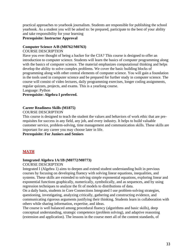practical approaches to yearbook journalism. Students are responsible for publishing the school yearbook. As a student you will be asked to: be prepared, participate to the best of your ability and take responsibility for your learning

### **Prerequisite: Instructor Approval**

### **Computer Science A/B (M0762/M0763)**

### COURSE DESCRIPTION

Have you ever thought of being a hacker for the CIA? This course is designed to offer an introduction to computer science. Students will learn the basics of computer programming along with the basics of computer science. The material emphasizes computational thinking and helps develop the ability to solve complex problems. We cover the basic building blocks of programming along with other central elements of computer science. You will gain a foundation in the tools used in computer science and be prepared for further study in computer science. The course will consist of video lectures, daily programming exercises, longer coding assignments, regular quizzes, projects, and exams. This is a yearlong course.

Language: Python

**Prerequisite: Algebra I preferred.**

### **Career Readiness Skills (M1875)**

COURSE DESCRIPTION

This course is designed to teach the student the values and behaviors of work ethic that are prerequisites for success in any field, any job, and every industry. It helps to build valuable customer service, problem-solving, time management and communication skills. These skills are important for any career you may choose later in life.

**Prerequisite: For Juniors and Seniors**

### <span id="page-32-0"></span>**MATH**

### **Integrated Algebra 1A/1B (M0772/M0773)**

COURSE DESCRIPTION

Integrated I (Algebra 1) aims to deepen and extend student understanding built in previous courses by focusing on developing fluency with solving linear equations, inequalities, and systems. These skills are extended to solving simple exponential equations, exploring linear and exponential functions graphically, numerically, symbolically, and as sequences, and by using regression techniques to analyze the fit of models to distributions of data.

On a daily basis, students in Core Connections Integrated I use problem-solving strategies, questioning, investigating, analyzing critically, gathering and constructing evidence, and communicating rigorous arguments justifying their thinking. Students learn in collaboration with others while sharing information, expertise, and ideas.

The course is well balanced among procedural fluency (algorithms and basic skills), deep conceptual understanding, strategic competence (problem solving), and adaptive reasoning (extension and application). The lessons in the course meet all of the content standards, of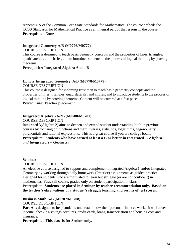Appendix A of the Common Core State Standards for Mathematics. The course embeds the CCSS Standards for Mathematical Practice as an integral part of the lessons in the course. **Prerequisite: None**

### **Integrated Geometry A/B (M0776/M0777)**

### COURSE DESCRIPTION

This course is designed to teach basic geometry concepts and the properties of lines, triangles, quadrilaterals, and circles, and to introduce students to the process of logical thinking by proving theorems.

### **Prerequisite: Integrated Algebra A and B**

### **Honors Integraded Geometry A/B (M0778/M0779)** COURSE DESCRIPTION

This course is designed for incoming freshmen to teach basic geometry concepts and the properties of lines, triangles, quadrilaterals, and circles, and to introduce students to the process of logical thinking by proving theorems. Content will be covered at a fast pace. **Prerequisite: Teacher placement.**

### **Integrated Algebra 2A/2B (M0780/M0781)**

COURSE DESCRIPTION

Integrated 3(Algebra 2) aims to deepen and extend student understanding built in previous courses by focusing on functions and their inverses, statisitics, logarithms, trigonometry, polynomials and rational expressions. This is a great course if you are college bound. **Prerequisite: Students who have earned at least a C or better in Integrated 1- Algebra 1**  *and* **Integrated 2 – Geometry**

### **Seminar**

### COURSE DESCRIPTION

An elective course designed to support and complement Integrated Algebra 1 and/or Integrated Geometry by working through daily homework (Practice) assignments as guided practice. Designed for students who are motivated to learn but struggle (or are not confident) in mathematics. Pass/Fail course, graded only on student participation in class **Prerequisite: Students are placed in Seminar by teacher recommendation only. Based on the teacher's observations of a student's struggle learning and results of test scores.**

### **Business Math A/B (M0707/M0708)**

COURSE DESCRIPTION

**Part A** is designed to help students understand how their personal finances work. It will cover income, checking/savings accounts, credit cards, loans, transportation and housing cost and insurance.

**Prerequisite: This class is for Seniors only.**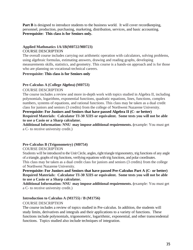**Part B** is designed to introduce students to the business world. It will cover recordkeeping, personnel, production, purchasing, marketing, distribution, services, and basic accounting. **Prerequisite: This class is for Seniors only.**

# **Applied Mathmatics 1A/1B(M0722/M0723)**

### COURSE DESCRIPTION

The overall course includes carrying out arithmetic operation with calculators, solving problems, using algebraic formulas, estimating answers, drawing and reading graphs, developing measurements skills, statistics, and geometry. This course is a hands-on approach and is for those who are planning on vocational-technical careers.

### **Prerequisite: This class is for Seniors only**

### **Pre-Calculus A (College Algebra) (M0753)**

### COURSE DESCRIPTION

The course includes a review and more in-depth work with topics studied in Algebra II, including polynomials, logarithms, exponential functions, quadratic equations, lines, functions, complex numbers, systems of equations, and rational functions. This class may be taken as a dual credit class for juniors and seniors (3 credits) from the college of Northwest Nazarene University.

### **Prerequisite: For Juniors and Seniors that have passed Algebra II (C- or better) Required Materials: Calculator TI-30 XIIS or equivalent. Some tests you will not be able to use a Casio or a Sharp calculator.**

**Additional Information: NNU may impose additional requirements. (**example: You must get a C- to receive university credit.)

### **Pre-Calculus B (Trigonometry) (M0754)**

### COURSE DESCRIPTION

Students will be introduced to the Unit Circle, angles, right triangle trigonometry, trig functions of any angle of a triangle, graphs of trig functions, verifying equations with trig functions, and polar coordinates.

This class may be taken as a dual credit class for juniors and seniors (3 credits) from the college of Northwest Nazarene University.

### **Prerequisite: For Juniors and Seniors that have passed Pre-Calculus Part A (C- or better) Required Materials: Calculator TI-30 XIIS or equivalent. Some tests you will not be able to use a Casio or a Sharp calculator.**

**Additional Information: NNU may impose additional requirements. (**example: You must get a C- to receive university credit.)

### **Introduction to Calculus A (M1755) / B (M1756)**

### COURSE DESCRIPTION

The course includes a review of topics studied in Pre-calculus. In addition, the students will study limits, derivatives and integrals and their applications to a variety of functions. These functions include polynomials, trigonometric, logarithmic, exponential, and other transcendental functions. Topics studied also include techniques of integration.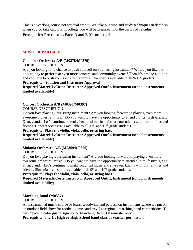This is a yearlong course not for dual credit. We take our time and study techniques in depth so when you do take calculus in college you will be prepared with the basics of calculus.

**Prerequisite: Pre-calculus Parts A and B (C- or better)**

### <span id="page-35-0"></span>**MUSIC DEPARTMENT**

### **Chamber Orchestra A/B (M0378/M0379)**

### COURSE DESCRIPTION

Are you looking for a chance to push yourself on your string instrument? Would you like the opportunity to perform at even more concerts and community events? Then it's time to audition and continue to push your skills to the limits. Chamber is available to all  $9-12<sup>th</sup>$  graders.

### **Prerequisite: Audition and Instructor Approval**

### **Required Materials/Costs: Instructor Approved Outfit, Instrument (school instruments limited availability)**

### **Concert Orchestra A/B (M0395/M0397)**

### COURSE DESCRIPTION

Do you love playing your string instrument? Are you looking forward to playing even more awesome orchestral music? Do you want to have the opportunity to attend clinics, festivals, and Disneyland?! Let's continue to make beautiful music and share our talents with our families and friends. Concert orchestra is available to all  $11<sup>th</sup>$  and  $12<sup>th</sup>$  grade students.

### **Prerequisite: Plays the violin, viola, cello, or string bass**

### **Required Materials/Costs: Instructor Approved Outfit, Instrument (school instruments limited availability)**

### **Sinfonia Orchestra A/B (M0369/M0370)**

### COURSE DESCRIPTION

Do you love playing your string instrument? Are you looking forward to playing even more awesome orchestral music? Do you want to have the opportunity to attend clinics, festivals, and Disneyland?! Let's continue to make beautiful music and share our talents with our families and friends. Sinfonia orchestra is available to all  $9<sup>th</sup>$  and  $10<sup>th</sup>$  grade students.

### **Prerequisite: Plays the violin, viola, cello, or string bass**

### **Required Materials/Costs: Instructor Approved Outfit, Instrument (school instruments limited availability)**

### **Marching Band (M0337)**

### COURSE DESCRIPTION

An instrumental music course of brass, woodwind and percussion instruments where we put on an outdoor field show for football games and travel to regional marching band competitions. To participate in color guard, sign up for Marching Band. 1st semester only.

### **Prerequisite: any Jr. High or High School band class or teacher permission**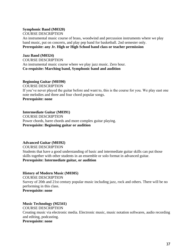### **Symphonic Band (M0320)**

COURSE DESCRIPTION

An instrumental music course of brass, woodwind and percussion instruments where we play band music, put on concerts, and play pep band for basketball. 2nd semester only. **Prerequisite: any Jr. High or High School band class or teacher permission**

### **Jazz Band (M0324)**

COURSE DESCRIPTION An instrumental music course where we play jazz music. Zero hour. **Co-requisite: Marching band, Symphonic band and audition**

### **Beginning Guitar (M0390)**

COURSE DESCRIPTION If you've never played the guitar before and want to, this is the course for you. We play east one note melodies and three and four chord popular songs. **Prerequisite: none**

### **Intermediate Guitar (M0391)**

COURSE DESCRIPTION Power chords, barre chords and more complex guitar playing. **Prerequisite: Beginning guitar or audition**

### **Advanced Guitar (M0392)**

COURSE DESCRIPTION Students that have a good understanding of basic and intermediate guitar skills can put those skills together with other students in an ensemble or solo format in advanced guitar. **Prerequisite: Intermediate guitar, or audition**

### **History of Modern Music (M0305)**

COURSE DESCRIPTION Survey of 20th and 21st century popular music including jazz, rock and others. There will be no performing in this class. **Prerequisite: none**

### **Music Technology (M2341)**

COURSE DESCRIPTION Creating music via electronic media. Electronic music, music notation softwares, audio recording and editing, podcasting. **Prerequisite: none**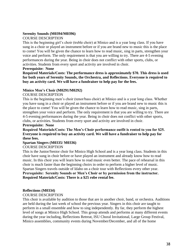### **Serenity Sounds (M0394/M0396)**

### COURSE DESCRIPTION

This is the beginning girl's choir (treble choir) at Minico and is a year long class. If you have sung in a choir or played an instrument before or if you are brand new to music this is the place to come! You will be given the chance to learn how to read music, sing in parts, strengthen your voice and perform. The only requirement is that you are willing to try. There are 4-5 evening performances during the year. Being in choir does not conflict with other sports, clubs, or activities. Students from every sport and activity are involved in choir.

### **Prerequisite: None**

**Required Materials/Costs: The performance dress is approximately \$70. This dress is used for both years of Serenity Sounds, the Orchestra, and Reflections. Everyone is required to buy an activity card. We will have a fundraiser to help pay for the fees.**

### **Minico Men's Choir (M0291/M0292)**

### COURSE DESCRIPTION

This is the beginning men's choir (tenor/bass choir) at Minico and is a year long class. Whether you have sung in a choir or played an instrument before or if you are brand new to music this is the place to come! You will be given the chance to learn how to read music, sing in parts, strengthen your voice and perform. The only requirement is that you are willing to try. There are 4-5 evening performances during the year. Being in choir does not conflict with other sports, clubs, or activities. Students from every sport and activity are involved in choir.

### **Prerequisite: None**

### **Required Materials/Costs: The Men's Choir performance outfit is rented to you for \$25. Everyone is required to buy an activity card. We will have a fundraiser to help pay for these fees.**

### **Spartan Singers (M0335/ M0336)**

### COURSE DESCRIPTION

This is the Junior/Senior choir for Minico High School and is a year long class. Students in this choir have sung in choir before or have played an instrument and already know how to read music. In this choir you will learn how to read music even better. The pace of rehearsal in this choir is much faster than the beginning choirs in order to perform a higher level of music. Spartan Singers travels outside of Idaho on a choir tour with Reflections every other year. **Prerequisite: Serenity Sounds or Men's Choir or by permission from the instructor. Required Materials/Costs: There is a \$25 robe rental fee.** 

### **Reflections (M0334)**

### COURSE DESCRIPTION

This choir is available by audition to those that are in another choir, band, or orchestra. Auditions are held during the last week of school the previous year. Singers in this choir are taught to perform in a small ensemble and how to sing independently. By far, they perform the highest level of songs at Minico High School. This group attends and performs at many different events during the year including, Reflections Retreat, ISU Choral Invitational, Large Group Festival, Minico assemblies, community events during November/December, and all of the home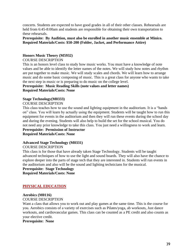concerts. Students are expected to have good grades in all of their other classes. Rehearsals are held from 6:45-8:00am and students are responsible for obtaining their own transportation to these rehearsals.

### **Prerequisite: By Audition, must also be enrolled in another music ensemble at Minico. Required Materials/Costs: \$50-200 (Folder, Jacket, and Performance Attire)**

### **Honors Music Theory (M5932)**

### COURSE DESCRIPTION

This is an honors level class to study how music works. You must have a knowledge of note values and be able to identify the letter names of the notes. We will study how notes and rhythm are put together to make music. We will study scales and chords. We will learn how to arrange music and do some basic composing of music. This is a great class for anyone who wants to take the next step in music or is preparing to do music on the college level.

### **Prerequisite: Music Reading Skills (note values and letter names) Required Materials/Costs: None**

### **Stage Technology(M0333)**

### COURSE DESCRIPTION

This class teaches how to use the sound and lighting equipment in the auditorium. It is a "hands on" class. You will learn by actually using the equipment. Students will be taught how to run this equipment for events in the auditorium and then they will run these events during the school day and during the evening. Students will also help to build the set for the school musical. You do not need any prior knowledge to take this class. You just need a willingness to work and learn. **Prerequisite: Permission of Instructor**

**Required Materials/Costs: None**

### **Advanced Stage Technology (M0331)**

### COURSE DESCRIPTION

This class is for those that have already taken Stage Technology. Students will be taught advanced techniques of how to use the light and sound boards. They will also have the chance to explore deeper into the parts of stage tech that they are interested in. Students will run events in the auditorium and also will be the sound and lighting technicians for the musical.

### **Prerequisite: Stage Technology**

**Required Materials/Costs: None**

### <span id="page-38-0"></span>**PHYSICAL EDUCATION**

### **Aerobics (M0116)**

### COURSE DESCRIPTION

Want a class that allows you to work out and play games at the same time. This is the course for you. Aerobics consists of a variety of exercises such as Pilates/yoga, ab workouts, Just dance workouts, and cardiovascular games. This class can be counted as a PE credit and also counts as your elective credit.

**Prerequisite: None**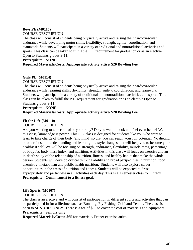### **Boys PE (M0115)**

### COURSE DESCRIPTION

The class will consist of students being physically active and raising their cardiovascular endurance while developing motor skills, flexibility, strength, agility, coordination, and teamwork. Students will participate in a variety of traditional and nontraditional activities and sports. This class can be taken to fulfill the P.E. requirement for graduation or as an elective Open to Students grades 9-11.

### **Prerequisite: NONE**

### **Required Materials/Costs: Appropriate activity attire/ \$20 Bowling Fee**

### **Girls PE (M0114)**

### COURSE DESCRIPTION

The class will consist of students being physically active and raising their cardiovascular endurance while learning skills, flexibility, strength, agility, coordination, and teamwork. Students will participate in a variety of traditional and nontraditional activities and sports. This class can be taken to fulfill the P.E. requirement for graduation or as an elective Open to Students grades 9-11.

### **Prerequisite: NONE**

### **Required Materials/Costs: Appropriate activity attire/ \$20 Bowling Fee**

### **Fit for Life (M0110)**

### COURSE DESCRIPTION

Are you wanting to take control of your body? Do you want to look and feel even better? Well in this class, knowledge is power. This P.E. class is designed for students like you who want to learn to take charge of their body (and mind) so that you can reach your full potential. No dieting or other fads, but understanding and learning life style changes that will help you to become your healthiest self. We will be focusing on strength, endurance, flexibility, muscle mass, percentage of body fat, body mass index, and nutrition. Activities in this class will focus on exercise and an in-depth study of the relationship of nutrition, fitness, and healthy habits that make the whole person. Students will develop critical thinking ability and broad perspectives in nutrition, food chemistry, metabolism and public health nutrition. Students will also explore career opportunities in the areas of nutrition and fitness. Students will be expected to dress appropriately and participate in all activities each day. This is a 1 semester class for 1 credit. **Prerequisite: Commitment to a fitness goal.**

### **Life Sports (M0107)**

### COURSE DESCRIPTION

The class is an elective and will consist of participation in different sports and activities that can be participated in for a lifetime, such as Bowling, Fly Fishing, Golf, and Tennis. The class is open to **SENIORS ONLY**. There is a fee of \$65 to cover the cost of materials and equipment. **Prerequisite: Seniors only**

**Required Materials/Costs:** \$65 for materials**.** Proper exercise attire.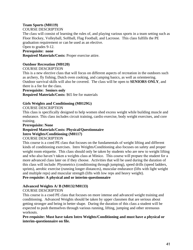# **Team Sports (M0119)**

### COURSE DESCRIPTION

The class will consist of learning the rules of, and playing various sports in a team setting such as Floor Hockey, Volleyball, Softball, Flag Football, and Lacrosse. This class fulfills the PE graduation requirement or can be used as an elective.

### Open to grades 9-12.

### **Prerequisite: none**

**Required Materials/Costs:** Proper exercise attire.

### **Outdoor Recreation (M0120)**

### COURSE DESCRIPTION

This is a new elective class that will focus on different aspects of recreation in the outdoors such as archery, fly fishing, Dutch oven cooking, and camping basics, as well as orienteering. Outdoor survival skills will also be covered. The class will be open to **SENIORS ONLY**, and there is a fee for the class.

### **Prerequisite: Seniors only**

**Required Materials/Costs:** \$65 fee for materials

### **Girls Weights and Conditioning (M0129G)**

### COURSE DESCRIPTION

This class is specifically designed to help women shed excess weight while building muscle and endurance. This class includes circuit training, cardio exercise, body weight exercises, and core training.

### **Prerequisite: None**

# **Required Materials/Costs: Physical/Questionnaire Intro Weights/Conditioning (M0117)**

### COURSE DESCRIPTION

This course is a coed PE class that focuses on the fundamentals of weight lifting and different kinds of conditioning exercises. Intro Weights/Conditioning also focuses on safety and proper weight room etiquette. This class should only be taken by students who are new to weight lifting and who also haven't taken a weights class at Minico. This course will prepare the student for a more advanced class later on if they choose. Activities that will be used during the duration of this class will include: Plyometrics (conditioning through jumping), speed drills (speed ladders, sprints), aerobic exercise (running longer distances), muscular endurance (lifts with light weight and multiple reps) and muscular strength (lifts with low reps and heavy weight). **Pre-requisite: A physical and or interim-questionnaire** 

# **Advanced Weights A/ B (M0132/M0133)**

### COURSE DESCRIPTION

This course is a coed PE class that focuses on more intense and advanced weight training and conditioning. Advanced Weights should be taken by upper classmen that are serious about getting stronger and being in better shape. During the duration of this class a student will be expected to push themselves through various running, lifting, jumping and other strenuous workouts.

**Pre-requisite: Must have taken Intro Weights/Conditioning and must have a physical or interim-questionnaire on file.**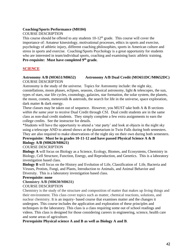### **Coaching/Sports Performance (M0104)**

### COURSE DESCRIPTION

This course should be offered to any students  $10-12<sup>th</sup>$  grade. This course will cover the importance of: Amateur kinesiology, motivational processes, ethics in sports and exercise, psychology of athletic injury, different coaching philosophies, sports in American culture and stress in sports and exercise. Coaching/Sports Psychology is a great opportunity for students who are interested in team/individual sports, coaching and examining basic athletic training. **Pre-requisite: Must have completed 9th grade.** 

### <span id="page-41-0"></span>**SCIENCE**

### **Astronomy A/B (MO651/M0652) Astronomy A/B Dual Credit (MO651DC/M0652DC)** COURSE DESCRIPTION

Astronomy is the study of the universe. Topics for Astronomy include: the night sky, constellations, moon phases, eclipses, seasons, classical astronomy, light & telescopes, the sun, types of stars, star life cycles, cosmology, galaxies, star formation, the solar system, the planets, the moon, comets, meteoroids & asteroids, the search for life in the universe, space exploration, dark matter & dark energy.

These classes may be taken out of sequence. However, you MUST take both  $A \& B$  sections *within the same year* to receive Dual Credit through CSI. Dual credit students are in the same class as non-dual credit students. They simply complete a few extra assignments to earn the college credits. See the instructor for details.

\*Students will have the opportunity to attend a 'star party' and look at objects in the night sky using a telescope AND to attend shows at the planetarium in Twin Falls during both semesters. They are also required to make observations of the night sky on their own during both semesters.

### **Prerequisite: Must be in grades 10-11-12 and have passed Physical Science A & B Biology A/B (M0620/M0621)**

### COURSE DESCRIPTION

**Biology A** will focus on Biology as a Science, Ecology, Biomes, and Ecosystems, Chemistry in Biology, Cell Structure, Function, Energy, and Reproduction, and Genetics. This is a laboratory investigation based class.

**Biology B** will focus on the History and Evolution of Life, Classification of Life, Bacteria and Viruses, Protists, Fungi, and Plants, Introduction to Animals, and Animal Behavior and Diversity. This is a laboratory investigation based class.

### **Prerequisite: none**

### **Chemistry A/B (M0630/M0631)**

### COURSE DESCRIPTION

Chemistry is the study of the structure and composition of matter that makes up living things and their environment. This class cover topics such as matter, chemical reactions, solutions, and nuclear chemistry. It is an inquiry- based course that examines matter and the changes it undergoes. This course includes the application and exploration of these principles and techniques in the laboratory. This class is a class requiring some out of school readings and videos. This class is designed for those considering careers in engineering, science, health care and some areas of agriculture.

**Prerequisite Physical science A and B as well as Biology A and B**.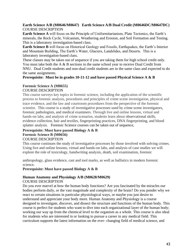### **Earth Science A/B (M0646/M0647) Earth Science A/B Dual Credit (M0646DC/M0647DC)** COURSE DESCRIPTION

**Earth Science A** will focus on the Principle of Uniformitarianism, Plate Tectonics, the Earth's minerals, the Rock Cycle, Volcanism, Weathering and Erosion, and Soil Formation and Testing. This is a laboratory investigation-based class.

**Earth Science B** will focus on Historical Geology and Fossils, Earthquakes, the Earth's Interior and Mountain Building, The Earth's Water, Glaciers, Landslides, and Deserts. This is a laboratory investigation-based class.

These classes may be taken out of sequence if you are taking them for high school credit only. You must take both the A & B sections in the same school year to receive Dual Credit from NNU. Dual Credit students and non-dual credit students are in the same class and expected to do the same assignments.

**Prerequisite: Must be in grades 10-11-12 and have passed Physical Science A & B**

### **Forensic Science A (M0655)**

### COURSE DESCRIPTION

This course surveys key topics in forensic science, including the application of the scientific process to forensic analysis, procedures and principles of crime scene investigation, physical and trace evidence, and the law and courtroom procedures from the perspective of the forensic scientist. This course is a study of investigative processes used by crime scene investigators, forensic pathologists, and medical examiners. Through live and online lessons, virtual and hands-on labs, and analysis of crime scenarios, students learn about observational skills, evidence collection, hair and textiles, fingerprinting practices, DNA fingerprinting, and blood splatter analysis. Forensic Science courses can be taken out of sequence,

### **Prerequisite: Must have passed Biology A & B Forensic Science B (M0656)** COURSE DESCRIPTION

This course continues the study of investigative processes by those involved with solving crimes. Using live and online lessons, virtual and hands-on labs, and analysis of case studies we will explore the role of toxicology, handwriting analysis, death, soil examination, forensic

anthropology, glass evidence, cast and tool marks, as well as ballistics in modern forensic science.

**Prerequisite: Must have passed Biology A & B**

### **Human Anatomy and Physiology A/B (M0628/M0629)**

### COURSE DESCRIPTION

Do you ever marvel at how the human body functions? Are you fascinated by the miracles our bodies perform daily, or the vast magnitude and complexity of the brain? Do you ponder why we react to certain situations in particular physiological ways, or maybe you just desire to understand and appreciate your body more. Human Anatomy and Physiology is a course designed to investigate, discover, and dissect the structure and functions of the human body. This course is perfect for students who want to dive into each organizational layer of the human body; working our way up from the chemical level to the organism as a whole. This course is also ideal for students who are interested in or looking to pursue a career in any medical field. This curriculum supports the latest information on the ever- changing field of medical science, and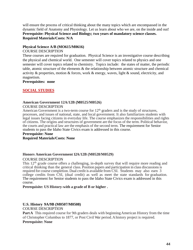will ensure the process of critical thinking about the many topics which are encompassed in the dynamic field of Anatomy and Physiology. Let us learn about who we are, on the inside and out! **Prerequisite: Physical Science and Biology; two years of mandatory science classes. Required Materials/Costs: N/A**

### **Physical Science A/B (MO615/M0616)**

### COURSE DESCRIPTION

These courses are required for graduation. Physical Science is an investigative course describing the physical and chemical world. One semester will cover topics related to physics and one semester will cover topics related to chemistry. Topics include: the states of matter, the periodic table, atomic structure of the elements & the relationship between atomic structure and chemical activity & properties, motion & forces, work & energy, waves, light & sound, electricity, and magnetism.

### **Prerequisites: none**

### <span id="page-43-0"></span>**SOCIAL STUDIES**

### **American Government 12A/12B (M0525/M0526)**

### COURSE DESCRIPTION

American Government is a two-term course for  $12<sup>th</sup>$  graders and is the study of structures, processes, and issues of national, state, and local government. It also familiarizes students with legal issues facing citizens in everyday life. The course emphasizes the responsibilities and rights of citizens. The origins and structures of government are the focus of the term. Political behavior, the courts and practical law are the emphasis of the second term. The requirement for Senior students to pass the Idaho State Civics exam is addressed in this course.

# **Prerequisite: None**

**Required Materials/Costs: None**

### **Honors American Government 12A/12B (M0528/M0529)** COURSE DESCRIPTION

This 12<sup>th</sup> grade course offers a challenging, in-depth survey that will require more reading and critical thinking than the general class. Position papers and participation in class discussions is required for course completion. Dual credit is available from CSI. Students may also earn 3 college credits from CSI, (dual credit) as well as meet the state standards for graduation. The requirement for Senior students to pass the Idaho State Civics exam is addressed in this course.

### **Prerequisite: US History-with a grade of B or higher .**

### **U.S. History 9A/9B (M0507/M0508)**

COURSE DESCRIPTION

**PartA** This required course for 9th graders deals with beginning American History from the time of Christopher Columbus to 1877, or Post Civil War period.Ahistory project is required.

### **Prerequisite: None**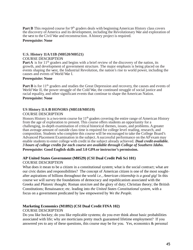Part B This required course for 9<sup>th</sup> graders deals with beginning American History class covers the discovery ofAmerica and its development, including the Revolutionary War and exploration of the west to the Civil War and reconstruction. Ahistory project is required.

### **Prerequisite: None**

### **U.S. History 11A/11B (M0520/M0521)**

### COURSE DESCRIPTION

**Part A** is for 11<sup>th</sup> graders and begins with a brief review of the discovery of the nation, its growth, and development of government structure. The major emphasis is being placed on the events shaping the west, the Industrial Revolution, the nation's rise to world power, including the causes and events of World War I.

### **Prerequisite: None**

**Part B** is for 11<sup>th</sup> graders and studies the Great Depression and recovery, the causes and events of World War II, the power struggle of the Cold War, the continued struggle of social justice and racial equality, and other significant events that continue to shape the American Nation. **Prerequisite: None**

### **US History 11A /B HONORS (M0518/M0519)**

### COURSE DESCRIPTION

Honors History is a two-term course for  $11<sup>th</sup>$  graders covering the entire range of American History from the age of exploration to present. This course offers students an opportunity for a challenging, in-depth examination of critical historical themes, issues, and problems.Agreater than average amount of outside class time is required for college level reading, research, and composition. Students who complete this course will be encouraged to take the College Board's Advanced Placement Examination in the subject. A successful performance on the AP exam may enable students to enter college with credit in the subject already achieved. *Dual credit available. 3 hours of college credits for each course are available through College of Southern Idaho.* **Prerequisite: Good English skills and 3.0 GPAor instructor's permission.**

# **AP United States Government (M0529) (CSI Dual Credit Poli Sci 101)**

### COURSE DESCRIPTION

What does it mean to be a citizen in a constitutional system; what is the social contract; what are our civic duties and responsibilities? The concept of American citizen is one of the most soughtafter aspirations of billions throughout the world *i.e., American citizenship is a good gig!* In this course we will survey the foundations of democracy and republicanism associated with the Greeks and *Platonic thought;* Roman *stoicism* and the glory of duty; Christian theory; the British Constitutions; Renaissance; etc. leading into *the United States Constitutional system,* with a focus on a government predicated by law empowered by *We the People.*

### **Marketing Economics (M1892) (CSI Dual Credit FINA 102)**

### COURSE DESCRIPTION

Do you like hockey; do you like replicable systems; do you ever think about basic probabilities associated with life; why are morticians pretty much guaranteed lifetime employment? If you answered yes to any of these questions, this course may be for you. Yes, economics & personal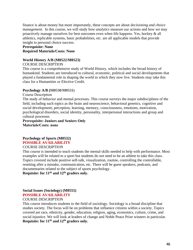finance is about money but more importantly, these concepts are about *decisioning and choice management.* In this course, we will study how *analytics* measure our actions and how we may proactively manage ourselves for best outcomes even when life happens. Yes, hockey & all athletics, replicable systems, basic probabilities, etc. are all applicable models that provide insight to personal choice success.

### **Prerequisite: None Required Materials/Costs: None**

### **World History A/B (M0522/M0523)**

### COURSE DESCRIPTION

This course is a comprehensive study of World History, which includes the broad history of humankind. Students are introduced to cultural, economic, political and social developments that played a fundamental role in shaping the world in which they now live. Students may take this class for a Humanities or Elective Credit.

### **Psychology A/B (M0530/M0531)**

### Course Description

The study of behavior and mental processes. This course surveys the major subdisciplines of the field, including such topics as the brain and neuroscience, behavioral genetics, cognitive and social development, perception, learning, memory, consciousness, emotions, motivation, psychological disorders, social identity, personality, interpersonal interactions and group and cultural processes

**Prerequisite: Juniors and Seniors Only Materials/Costs: none** 

### **Psychology of Sports (M0532) POSSIBLE AVAILABILITY**

### COURSE DESCRIPTION

This course is intended to teach students the mental skills needed to help with performance. Most examples will be related to a sport but students do not need to be an athlete to take this class. Topics covered include positive self-talk, visualization, routine, controlling the controllable, resetting after a mistake, communication, etc. There will be guest speakers, podcasts, and documentaries related to the subject of sports psychology.

**Requisite: for 11th and 12th graders only.**

### **Social Issues (Sociology) (M0555) POSSIBLE AVAILABILITY**

### COURSE DESCRIPTION

This course introduces students to the field of sociology. Sociology is a broad discipline that studies society. The focus will be on problems that influence citizens within a society. Topics covered are race, ethnicity, gender, education, religion, aging, economics, culture, crime, and social injustice. We will look at leaders of change and Noble Peace Prize winners in particular. **Requisite: for 11th and 12th graders only.**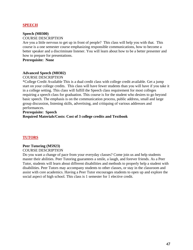### <span id="page-46-0"></span>**SPEECH**

### **Speech (M0300)**

### COURSE DESCRIPTION

Are you a little nervous to get up in front of people? This class will help you with that. This course is a one semester course emphasizing responsible communications, how to become a better speaker and a discriminate listener. You will learn about how to be a better presenter and how to prepare for presentations.

**Prerequisite: None**

### **Advanced Speech (M0302)**

COURSE DESCRIPTION

\*College Credit Available This is a dual credit class with college credit available. Get a jump start on your college credits. This class will have fewer students than you will have if you take it in a college setting. This class will fulfill the Speech class requirement for most colleges requiring a speech class for graduation. This course is for the student who desires to go beyond basic speech. The emphasis is on the communication process, public address, small and large group discussion, listening skills, advertising, and critiquing of various addresses and performances.

### **Prerequisite: Speech**

**Required Materials/Costs: Cost of 3 college credits and Textbook**

### <span id="page-46-1"></span>**TUTORS**

### **Peer Tutoring (M5923)** COURSE DESCRIPTION

Do you want a change of pace from your everyday classes? Come join us and help students master their abilities. Peer Tutoring guarantees a smile, a laugh, and forever friends. As a Peer Tutor, students will learn about different disabilities and methods to properly help a student with disabilities. Peer Tutors may accompany students to other classes, or stay in the classroom and assist with core academics. Having a Peer Tutor encourages students to open up and explore the social aspect of high school. This class is 1 semester for 1 elective credit.